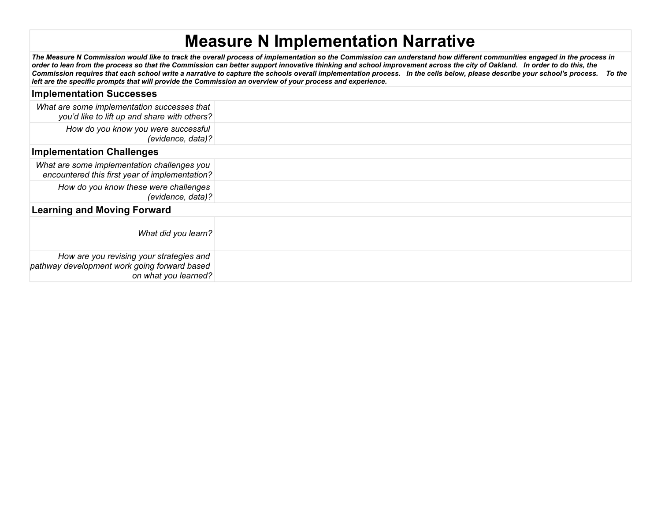## **Measure N Implementation Narrative**

*The Measure N Commission would like to track the overall process of implementation so the Commission can understand how different communities engaged in the process in order to lean from the process so that the Commission can better support innovative thinking and school improvement across the city of Oakland. In order to do this, the Commission requires that each school write a narrative to capture the schools overall implementation process. In the cells below, please describe your school's process. To the left are the specific prompts that will provide the Commission an overview of your process and experience.*

| <b>Implementation Successes</b>                                                                                  |  |
|------------------------------------------------------------------------------------------------------------------|--|
| What are some implementation successes that<br>you'd like to lift up and share with others?                      |  |
| How do you know you were successful<br>(evidence, data)?                                                         |  |
| <b>Implementation Challenges</b>                                                                                 |  |
| What are some implementation challenges you<br>encountered this first year of implementation?                    |  |
| How do you know these were challenges<br>(evidence, data)?                                                       |  |
| <b>Learning and Moving Forward</b>                                                                               |  |
| What did you learn?                                                                                              |  |
| How are you revising your strategies and<br>pathway development work going forward based<br>on what you learned? |  |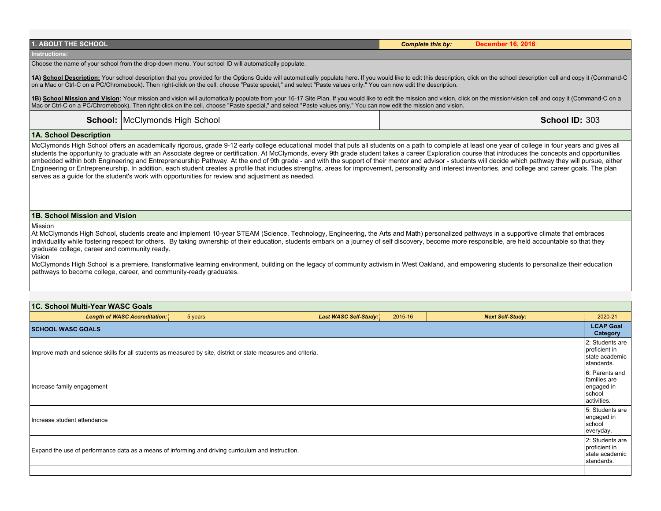| <b>1. ABOUT THE SCHOOL</b>           |                                                                                                                                                                                                                                                                                                                                                                                                                                                                                                                                                                                                                                                                                                                                                                                                                                                                                                                                                 |                                                                                                                                                                                                                                                                                                                                                                                                   | <b>Complete this by:</b> |  | <b>December 16, 2016</b> |                                                                       |  |  |
|--------------------------------------|-------------------------------------------------------------------------------------------------------------------------------------------------------------------------------------------------------------------------------------------------------------------------------------------------------------------------------------------------------------------------------------------------------------------------------------------------------------------------------------------------------------------------------------------------------------------------------------------------------------------------------------------------------------------------------------------------------------------------------------------------------------------------------------------------------------------------------------------------------------------------------------------------------------------------------------------------|---------------------------------------------------------------------------------------------------------------------------------------------------------------------------------------------------------------------------------------------------------------------------------------------------------------------------------------------------------------------------------------------------|--------------------------|--|--------------------------|-----------------------------------------------------------------------|--|--|
| nstructions:                         |                                                                                                                                                                                                                                                                                                                                                                                                                                                                                                                                                                                                                                                                                                                                                                                                                                                                                                                                                 |                                                                                                                                                                                                                                                                                                                                                                                                   |                          |  |                          |                                                                       |  |  |
|                                      | Choose the name of your school from the drop-down menu. Your school ID will automatically populate.                                                                                                                                                                                                                                                                                                                                                                                                                                                                                                                                                                                                                                                                                                                                                                                                                                             |                                                                                                                                                                                                                                                                                                                                                                                                   |                          |  |                          |                                                                       |  |  |
|                                      |                                                                                                                                                                                                                                                                                                                                                                                                                                                                                                                                                                                                                                                                                                                                                                                                                                                                                                                                                 | 1A) School Description: Your school description that you provided for the Options Guide will automatically populate here. If you would like to edit this description, click on the school description cell and copy it (Comman<br>on a Mac or Ctrl-C on a PC/Chromebook). Then right-click on the cell, choose "Paste special," and select "Paste values only." You can now edit the description. |                          |  |                          |                                                                       |  |  |
|                                      |                                                                                                                                                                                                                                                                                                                                                                                                                                                                                                                                                                                                                                                                                                                                                                                                                                                                                                                                                 | 1B) School Mission and Vision: Your mission and vision will automatically populate from your 16-17 Site Plan. If you would like to edit the mission and vision, click on the mission/vision cell and copy it (Command-C on a<br>Mac or Ctrl-C on a PC/Chromebook). Then right-click on the cell, choose "Paste special," and select "Paste values only." You can now edit the mission and vision. |                          |  |                          |                                                                       |  |  |
|                                      | <b>School: McClymonds High School</b>                                                                                                                                                                                                                                                                                                                                                                                                                                                                                                                                                                                                                                                                                                                                                                                                                                                                                                           |                                                                                                                                                                                                                                                                                                                                                                                                   |                          |  |                          | School ID: 303                                                        |  |  |
| 1A. School Description               |                                                                                                                                                                                                                                                                                                                                                                                                                                                                                                                                                                                                                                                                                                                                                                                                                                                                                                                                                 |                                                                                                                                                                                                                                                                                                                                                                                                   |                          |  |                          |                                                                       |  |  |
|                                      | McClymonds High School offers an academically rigorous, grade 9-12 early college educational model that puts all students on a path to complete at least one year of college in four years and gives all<br>students the opportunity to graduate with an Associate degree or certification. At McClymonds, every 9th grade student takes a career Exploration course that introduces the concepts and opportunities<br>embedded within both Engineering and Entrepreneurship Pathway. At the end of 9th grade - and with the support of their mentor and advisor - students will decide which pathway they will pursue, either<br>Engineering or Entrepreneurship. In addition, each student creates a profile that includes strengths, areas for improvement, personality and interest inventories, and college and career goals. The plan<br>serves as a guide for the student's work with opportunities for review and adjustment as needed. |                                                                                                                                                                                                                                                                                                                                                                                                   |                          |  |                          |                                                                       |  |  |
| <b>1B. School Mission and Vision</b> |                                                                                                                                                                                                                                                                                                                                                                                                                                                                                                                                                                                                                                                                                                                                                                                                                                                                                                                                                 |                                                                                                                                                                                                                                                                                                                                                                                                   |                          |  |                          |                                                                       |  |  |
| Vision                               | <b>Mission</b><br>At McClymonds High School, students create and implement 10-year STEAM (Science, Technology, Engineering, the Arts and Math) personalized pathways in a supportive climate that embraces<br>individuality while fostering respect for others. By taking ownership of their education, students embark on a journey of self discovery, become more responsible, are held accountable so that they<br>graduate college, career and community ready.<br>McClymonds High School is a premiere, transformative learning environment, building on the legacy of community activism in West Oakland, and empowering students to personalize their education<br>pathways to become college, career, and community-ready graduates.                                                                                                                                                                                                    |                                                                                                                                                                                                                                                                                                                                                                                                   |                          |  |                          |                                                                       |  |  |
| 1C. School Multi-Year WASC Goals     |                                                                                                                                                                                                                                                                                                                                                                                                                                                                                                                                                                                                                                                                                                                                                                                                                                                                                                                                                 |                                                                                                                                                                                                                                                                                                                                                                                                   |                          |  |                          |                                                                       |  |  |
|                                      | <b>Length of WASC Accreditation:</b><br>5 years                                                                                                                                                                                                                                                                                                                                                                                                                                                                                                                                                                                                                                                                                                                                                                                                                                                                                                 | <b>Last WASC Self-Study:</b>                                                                                                                                                                                                                                                                                                                                                                      | 2015-16                  |  | <b>Next Self-Study:</b>  | 2020-21                                                               |  |  |
| <b>SCHOOL WASC GOALS</b>             |                                                                                                                                                                                                                                                                                                                                                                                                                                                                                                                                                                                                                                                                                                                                                                                                                                                                                                                                                 |                                                                                                                                                                                                                                                                                                                                                                                                   |                          |  |                          | <b>LCAP Goal</b><br>Category                                          |  |  |
|                                      | Improve math and science skills for all students as measured by site, district or state measures and criteria.                                                                                                                                                                                                                                                                                                                                                                                                                                                                                                                                                                                                                                                                                                                                                                                                                                  |                                                                                                                                                                                                                                                                                                                                                                                                   |                          |  |                          | 2: Students are<br>proficient in<br>state academic<br>standards.      |  |  |
| Increase family engagement           |                                                                                                                                                                                                                                                                                                                                                                                                                                                                                                                                                                                                                                                                                                                                                                                                                                                                                                                                                 |                                                                                                                                                                                                                                                                                                                                                                                                   |                          |  |                          | 6: Parents and<br>families are<br>engaged in<br>school<br>activities. |  |  |
| Increase student attendance          |                                                                                                                                                                                                                                                                                                                                                                                                                                                                                                                                                                                                                                                                                                                                                                                                                                                                                                                                                 |                                                                                                                                                                                                                                                                                                                                                                                                   |                          |  |                          | 5: Students are<br>engaged in<br>school<br>everyday.                  |  |  |
|                                      | Expand the use of performance data as a means of informing and driving curriculum and instruction.                                                                                                                                                                                                                                                                                                                                                                                                                                                                                                                                                                                                                                                                                                                                                                                                                                              |                                                                                                                                                                                                                                                                                                                                                                                                   |                          |  |                          | 2: Students are<br>proficient in<br>state academic<br>standards.      |  |  |
|                                      |                                                                                                                                                                                                                                                                                                                                                                                                                                                                                                                                                                                                                                                                                                                                                                                                                                                                                                                                                 |                                                                                                                                                                                                                                                                                                                                                                                                   |                          |  |                          |                                                                       |  |  |
|                                      |                                                                                                                                                                                                                                                                                                                                                                                                                                                                                                                                                                                                                                                                                                                                                                                                                                                                                                                                                 |                                                                                                                                                                                                                                                                                                                                                                                                   |                          |  |                          |                                                                       |  |  |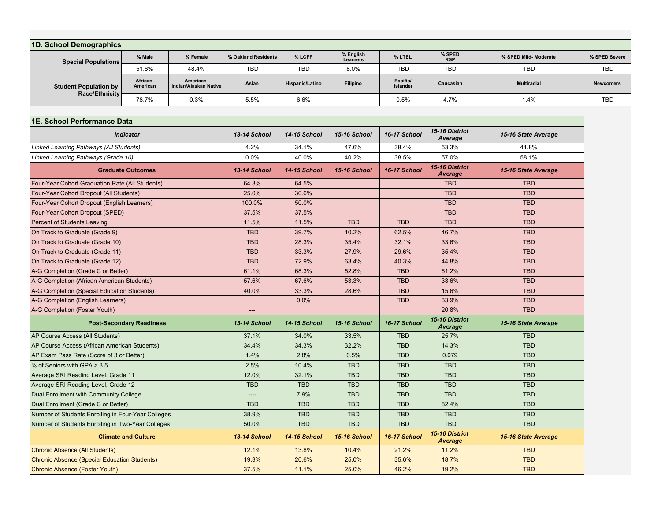| <b>1D. School Demographics</b>                  |                                 |                                   |                          |                     |                       |                             |                           |                       |                  |
|-------------------------------------------------|---------------------------------|-----------------------------------|--------------------------|---------------------|-----------------------|-----------------------------|---------------------------|-----------------------|------------------|
| <b>Special Populations</b>                      | % Male                          | % Female                          | % Oakland Residents      | % LCFF              | % English<br>Learners | % LTEL                      | % SPED<br><b>RSP</b>      | % SPED Mild- Moderate | % SPED Severe    |
|                                                 | 51.6%                           | 48.4%                             | <b>TBD</b>               | <b>TBD</b>          | 8.0%                  | <b>TBD</b>                  | <b>TBD</b>                | <b>TBD</b>            | <b>TBD</b>       |
| <b>Student Population by</b><br>Race/Ethnicity  | African-<br>American            | American<br>Indian/Alaskan Native | Asian                    | Hispanic/Latino     | Filipino              | Pacific/<br><b>Islander</b> | Caucasian                 | <b>Multiracial</b>    | <b>Newcomers</b> |
|                                                 | 78.7%                           | 0.3%                              | 5.5%                     | 6.6%                |                       | 0.5%                        | 4.7%                      | 1.4%                  | <b>TBD</b>       |
|                                                 |                                 |                                   |                          |                     |                       |                             |                           |                       |                  |
| 1E. School Performance Data                     |                                 |                                   |                          |                     |                       |                             |                           |                       |                  |
|                                                 | <b>Indicator</b>                |                                   | 13-14 School             | 14-15 School        | 15-16 School          | 16-17 School                | 15-16 District<br>Average | 15-16 State Average   |                  |
| Linked Learning Pathways (All Students)         |                                 |                                   | 4.2%                     | 34.1%               | 47.6%                 | 38.4%                       | 53.3%                     | 41.8%                 |                  |
| Linked Learning Pathways (Grade 10)             |                                 |                                   | 0.0%                     | 40.0%               | 40.2%                 | 38.5%                       | 57.0%                     | 58.1%                 |                  |
| <b>Graduate Outcomes</b>                        |                                 | 13-14 School                      | <b>14-15 School</b>      | 15-16 School        | 16-17 School          | 15-16 District<br>Average   | 15-16 State Average       |                       |                  |
| Four-Year Cohort Graduation Rate (All Students) |                                 |                                   | 64.3%                    | 64.5%               |                       |                             | <b>TBD</b>                | <b>TBD</b>            |                  |
| Four-Year Cohort Dropout (All Students)         |                                 |                                   | 25.0%                    | 30.6%               |                       |                             | <b>TBD</b>                | <b>TBD</b>            |                  |
| Four-Year Cohort Dropout (English Learners)     |                                 |                                   | 100.0%                   | 50.0%               |                       |                             | <b>TBD</b>                | <b>TBD</b>            |                  |
| Four-Year Cohort Dropout (SPED)                 |                                 |                                   | 37.5%                    | 37.5%               |                       |                             | <b>TBD</b>                | <b>TBD</b>            |                  |
| <b>Percent of Students Leaving</b>              |                                 |                                   | 11.5%                    | 11.5%               | <b>TBD</b>            | <b>TBD</b>                  | <b>TBD</b>                | <b>TBD</b>            |                  |
| On Track to Graduate (Grade 9)                  |                                 |                                   | <b>TBD</b>               | 39.7%               | 10.2%                 | 62.5%                       | 46.7%                     | <b>TBD</b>            |                  |
| On Track to Graduate (Grade 10)                 |                                 |                                   | <b>TBD</b>               | 28.3%               | 35.4%                 | 32.1%                       | 33.6%                     | <b>TBD</b>            |                  |
| On Track to Graduate (Grade 11)                 |                                 |                                   | <b>TBD</b>               | 33.3%               | 27.9%                 | 29.6%                       | 35.4%                     | <b>TBD</b>            |                  |
| On Track to Graduate (Grade 12)                 |                                 |                                   | <b>TBD</b>               | 72.9%               | 63.4%                 | 40.3%                       | 44.8%                     | <b>TBD</b>            |                  |
| A-G Completion (Grade C or Better)              |                                 |                                   | 61.1%                    | 68.3%               | 52.8%                 | <b>TBD</b>                  | 51.2%                     | <b>TBD</b>            |                  |
| A-G Completion (African American Students)      |                                 |                                   | 57.6%                    | 67.6%               | 53.3%                 | <b>TBD</b>                  | 33.6%                     | <b>TBD</b>            |                  |
| A-G Completion (Special Education Students)     |                                 |                                   | 40.0%                    | 33.3%               | 28.6%                 | <b>TBD</b>                  | 15.6%                     | <b>TBD</b>            |                  |
| A-G Completion (English Learners)               |                                 |                                   |                          | 0.0%                |                       | <b>TBD</b>                  | 33.9%                     | <b>TBD</b>            |                  |
| A-G Completion (Foster Youth)                   |                                 |                                   | $\overline{\phantom{a}}$ |                     |                       |                             | 20.8%                     | <b>TBD</b>            |                  |
|                                                 | <b>Post-Secondary Readiness</b> |                                   | 13-14 School             | <b>14-15 School</b> | 15-16 School          | 16-17 School                | 15-16 District<br>Average | 15-16 State Average   |                  |
| AP Course Access (All Students)                 |                                 |                                   | 37.1%                    | 34.0%               | 33.5%                 | <b>TBD</b>                  | 25.7%                     | <b>TBD</b>            |                  |

*Average 15-16 State Average*

AP Course Access (African American Students) 34.4% 34.3% 32.2% TBD 14.3% TBD AP Exam Pass Rate (Score of 3 or Better) 1.4% 1.4% 2.8% 0.5% TBD 0.079 TBD 0.079 TBD % of Seniors with GPA > 3.5 2.5% 10.4% TBD TBD TBD TBD Average SRI Reading Level, Grade 11 12.0 12.0% 32.1% TBD TBD TBD TBD TBD TBD TBD TBD Average SRI Reading Level, Grade 12 TBD TBD TBD TBD TBD TBD Dual Enrollment with Community College ---- 7.9% TBD TBD TBD TBD Dual Enrollment (Grade C or Better) TBD TBD TBD TBD TBD TBD 82.4% TBD TBD TBD TBD TBD Number of Students Enrolling in Four-Year Colleges and the students 38.9% TBD TBD TBD TBD TBD TBD TBD TBD TBD Number of Students Enrolling in Two-Year Colleges 50.0% TBD TBD TBD TBD TBD **Climate and Culture** *13-14 School 14-15 School 15-16 School 16-17 School 15-16 District* 

Chronic Absence (All Students) 12.1% | 12.1% | 13.8% | 10.4% | 21.2% | 11.2% | 11.2% TBD Chronic Absence (Special Education Students) 19.3% 20.6% 25.0% 35.6% 18.7% TBD Chronic Absence (Foster Youth) 37.5% 11.1% 25.0% 46.2% 19.2% TBD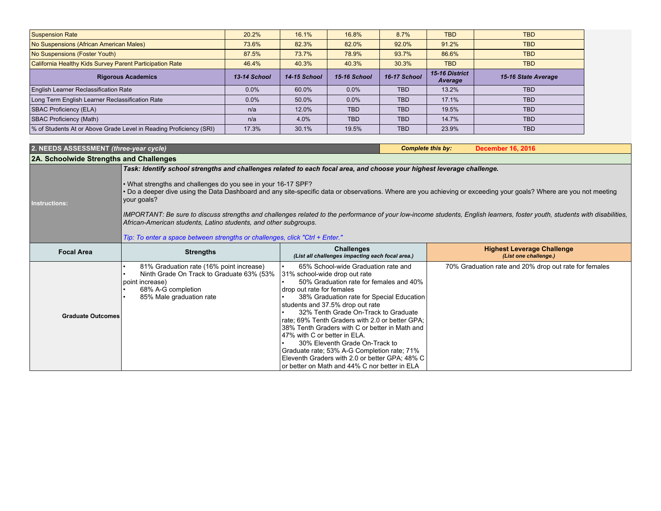| <b>Suspension Rate</b>                                             | 20.2%        | 16.1%               | 16.8%        | 8.7%         | <b>TBD</b>                       | <b>TBD</b>          |
|--------------------------------------------------------------------|--------------|---------------------|--------------|--------------|----------------------------------|---------------------|
| No Suspensions (African American Males)                            | 73.6%        | 82.3%               | 82.0%        | 92.0%        | 91.2%                            | <b>TBD</b>          |
| No Suspensions (Foster Youth)                                      | 87.5%        | 73.7%               | 78.9%        | 93.7%        | 86.6%                            | <b>TBD</b>          |
| California Healthy Kids Survey Parent Participation Rate           | 46.4%        | 40.3%               | 40.3%        | 30.3%        | <b>TBD</b>                       | <b>TBD</b>          |
| <b>Rigorous Academics</b>                                          | 13-14 School | <b>14-15 School</b> | 15-16 School | 16-17 School | <b>15-16 District</b><br>Average | 15-16 State Average |
| English Learner Reclassification Rate                              | 0.0%         | 60.0%               | $0.0\%$      | <b>TBD</b>   | 13.2%                            | <b>TBD</b>          |
| Long Term English Learner Reclassification Rate                    | 0.0%         | 50.0%               | 0.0%         | <b>TBD</b>   | 17.1%                            | <b>TBD</b>          |
| SBAC Proficiency (ELA)                                             | n/a          | 12.0%               | <b>TBD</b>   | <b>TBD</b>   | 19.5%                            | <b>TBD</b>          |
| <b>SBAC Proficiency (Math)</b>                                     | n/a          | 4.0%                | <b>TBD</b>   | <b>TBD</b>   | 14.7%                            | <b>TBD</b>          |
| % of Students At or Above Grade Level in Reading Proficiency (SRI) | 17.3%        | 30.1%               | 19.5%        | TBD.         | 23.9%                            | <b>TBD</b>          |

| 2. NEEDS ASSESSMENT (three-year cycle)  |                                                                                                                                                                                                                                                                                                                                                                                                                                                                                                                                                                                                                                                                                                                | <b>Complete this by:</b>                                                                                                                                                                                                                                                                                                                                                                                                                                                                                                                                                                        | <b>December 16, 2016</b> |                                                            |  |  |  |
|-----------------------------------------|----------------------------------------------------------------------------------------------------------------------------------------------------------------------------------------------------------------------------------------------------------------------------------------------------------------------------------------------------------------------------------------------------------------------------------------------------------------------------------------------------------------------------------------------------------------------------------------------------------------------------------------------------------------------------------------------------------------|-------------------------------------------------------------------------------------------------------------------------------------------------------------------------------------------------------------------------------------------------------------------------------------------------------------------------------------------------------------------------------------------------------------------------------------------------------------------------------------------------------------------------------------------------------------------------------------------------|--------------------------|------------------------------------------------------------|--|--|--|
| 2A. Schoolwide Strengths and Challenges |                                                                                                                                                                                                                                                                                                                                                                                                                                                                                                                                                                                                                                                                                                                |                                                                                                                                                                                                                                                                                                                                                                                                                                                                                                                                                                                                 |                          |                                                            |  |  |  |
| <b>Instructions:</b>                    | Task: Identify school strengths and challenges related to each focal area, and choose your highest leverage challenge.<br>• What strengths and challenges do you see in your 16-17 SPF?<br>• Do a deeper dive using the Data Dashboard and any site-specific data or observations. Where are you achieving or exceeding your goals? Where are you not meeting<br>your goals?<br>IMPORTANT: Be sure to discuss strengths and challenges related to the performance of your low-income students, English learners, foster youth, students with disabilities,<br>African-American students, Latino students, and other subgroups.<br>Tip: To enter a space between strengths or challenges, click "Ctrl + Enter." |                                                                                                                                                                                                                                                                                                                                                                                                                                                                                                                                                                                                 |                          |                                                            |  |  |  |
| <b>Focal Area</b>                       | <b>Strengths</b>                                                                                                                                                                                                                                                                                                                                                                                                                                                                                                                                                                                                                                                                                               | <b>Challenges</b><br>(List all challenges impacting each focal area.)                                                                                                                                                                                                                                                                                                                                                                                                                                                                                                                           |                          | <b>Highest Leverage Challenge</b><br>(List one challenge.) |  |  |  |
| <b>Graduate Outcomes</b>                | 81% Graduation rate (16% point increase)<br>Ninth Grade On Track to Graduate 63% (53%)<br>point increase)<br>68% A-G completion<br>85% Male graduation rate                                                                                                                                                                                                                                                                                                                                                                                                                                                                                                                                                    | 65% School-wide Graduation rate and<br>31% school-wide drop out rate<br>50% Graduation rate for females and 40%<br>drop out rate for females<br>38% Graduation rate for Special Education<br>students and 37.5% drop out rate<br>32% Tenth Grade On-Track to Graduate<br>rate: 69% Tenth Graders with 2.0 or better GPA:<br>38% Tenth Graders with C or better in Math and<br>147% with C or better in ELA.<br>30% Eleventh Grade On-Track to<br>Graduate rate; 53% A-G Completion rate; 71%<br>Eleventh Graders with 2.0 or better GPA; 48% C<br>or better on Math and 44% C nor better in ELA |                          | 70% Graduation rate and 20% drop out rate for females      |  |  |  |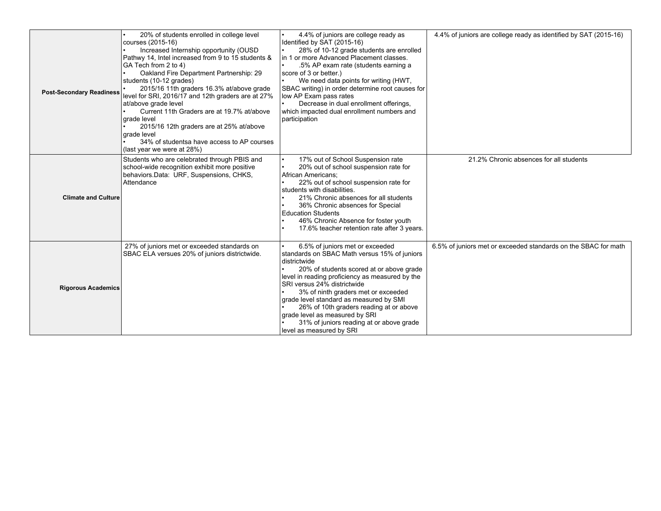| <b>Post-Secondary Readiness</b> | 20% of students enrolled in college level<br>courses (2015-16)<br>Increased Internship opportunity (OUSD<br>Pathwy 14, Intel increased from 9 to 15 students &<br>GA Tech from 2 to 4)<br>Oakland Fire Department Partnership: 29<br>students (10-12 grades)<br>2015/16 11th graders 16.3% at/above grade<br>level for SRI, 2016/17 and 12th graders are at 27%<br>at/above grade level<br>Current 11th Graders are at 19.7% at/above<br>grade level<br>2015/16 12th graders are at 25% at/above<br>grade level<br>34% of studentsa have access to AP courses<br>(last year we were at 28%) | 4.4% of juniors are college ready as<br>Identified by SAT (2015-16)<br>28% of 10-12 grade students are enrolled<br>in 1 or more Advanced Placement classes.<br>.5% AP exam rate (students earning a<br>score of 3 or better.)<br>We need data points for writing (HWT,<br>SBAC writing) in order determine root causes for<br>low AP Exam pass rates<br>Decrease in dual enrollment offerings,<br>which impacted dual enrollment numbers and<br>participation        | 4.4% of juniors are college ready as identified by SAT (2015-16) |
|---------------------------------|---------------------------------------------------------------------------------------------------------------------------------------------------------------------------------------------------------------------------------------------------------------------------------------------------------------------------------------------------------------------------------------------------------------------------------------------------------------------------------------------------------------------------------------------------------------------------------------------|----------------------------------------------------------------------------------------------------------------------------------------------------------------------------------------------------------------------------------------------------------------------------------------------------------------------------------------------------------------------------------------------------------------------------------------------------------------------|------------------------------------------------------------------|
| <b>Climate and Culture</b>      | Students who are celebrated through PBIS and<br>school-wide recognition exhibit more positive<br>behaviors.Data: URF, Suspensions, CHKS,<br><b>Attendance</b>                                                                                                                                                                                                                                                                                                                                                                                                                               | 17% out of School Suspension rate<br>20% out of school suspension rate for<br>African Americans:<br>22% out of school suspension rate for<br>students with disabilities.<br>21% Chronic absences for all students<br>36% Chronic absences for Special<br><b>Education Students</b><br>46% Chronic Absence for foster youth<br>17.6% teacher retention rate after 3 years.                                                                                            | 21.2% Chronic absences for all students                          |
| <b>Rigorous Academics</b>       | 27% of juniors met or exceeded standards on<br>SBAC ELA versues 20% of juniors districtwide.                                                                                                                                                                                                                                                                                                                                                                                                                                                                                                | 6.5% of juniors met or exceeded<br>standards on SBAC Math versus 15% of juniors<br>districtwide<br>20% of students scored at or above grade<br>level in reading proficiency as measured by the<br>SRI versus 24% districtwide<br>3% of ninth graders met or exceeded<br>grade level standard as measured by SMI<br>26% of 10th graders reading at or above<br>grade level as measured by SRI<br>31% of juniors reading at or above grade<br>level as measured by SRI | 6.5% of juniors met or exceeded standards on the SBAC for math   |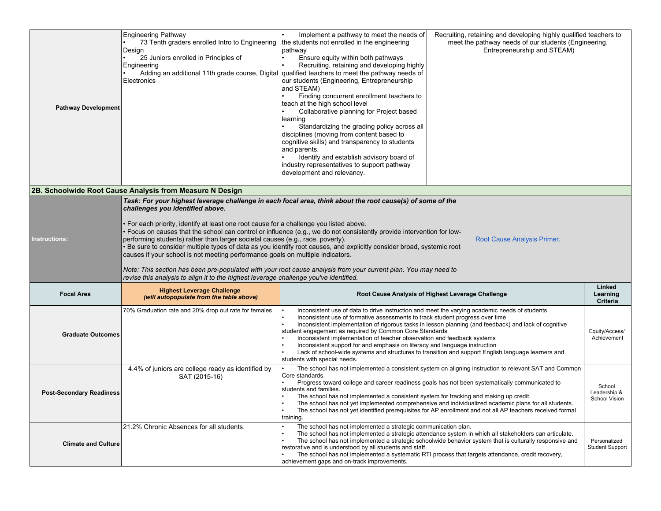| Pathway Development             | <b>Engineering Pathway</b><br>73 Tenth graders enrolled Intro to Engineering<br>Design<br>25 Juniors enrolled in Principles of<br>Engineering<br>Adding an additional 11th grade course, Digital<br>Electronics                                                                                                                                                                                                                                                                                                                                                                                                                                                                                                                                                                                                                                                                                                   | Implement a pathway to meet the needs of<br>the students not enrolled in the engineering<br>pathway<br>Ensure equity within both pathways<br>Recruiting, retaining and developing highly<br>qualified teachers to meet the pathway needs of<br>our students (Engineering, Entrepreneurship<br>and STEAM)<br>Finding concurrent enrollment teachers to<br>teach at the high school level<br>Collaborative planning for Project based<br>learning<br>Standardizing the grading policy across all<br>disciplines (moving from content based to<br>cognitive skills) and transparency to students<br>and parents.<br>Identify and establish advisory board of<br>industry representatives to support pathway<br>development and relevancy. | Recruiting, retaining and developing highly qualified teachers to<br>meet the pathway needs of our students (Engineering,<br>Entrepreneurship and STEAM)                                                                                                                                                               |                                        |  |  |
|---------------------------------|-------------------------------------------------------------------------------------------------------------------------------------------------------------------------------------------------------------------------------------------------------------------------------------------------------------------------------------------------------------------------------------------------------------------------------------------------------------------------------------------------------------------------------------------------------------------------------------------------------------------------------------------------------------------------------------------------------------------------------------------------------------------------------------------------------------------------------------------------------------------------------------------------------------------|----------------------------------------------------------------------------------------------------------------------------------------------------------------------------------------------------------------------------------------------------------------------------------------------------------------------------------------------------------------------------------------------------------------------------------------------------------------------------------------------------------------------------------------------------------------------------------------------------------------------------------------------------------------------------------------------------------------------------------------|------------------------------------------------------------------------------------------------------------------------------------------------------------------------------------------------------------------------------------------------------------------------------------------------------------------------|----------------------------------------|--|--|
|                                 | 2B. Schoolwide Root Cause Analysis from Measure N Design                                                                                                                                                                                                                                                                                                                                                                                                                                                                                                                                                                                                                                                                                                                                                                                                                                                          |                                                                                                                                                                                                                                                                                                                                                                                                                                                                                                                                                                                                                                                                                                                                        |                                                                                                                                                                                                                                                                                                                        |                                        |  |  |
| Instructions:                   | Task: For your highest leverage challenge in each focal area, think about the root cause(s) of some of the<br>challenges you identified above.<br>• For each priority, identify at least one root cause for a challenge you listed above.<br>• Focus on causes that the school can control or influence (e.g., we do not consistently provide intervention for low-<br>performing students) rather than larger societal causes (e.g., race, poverty).<br><b>Root Cause Analysis Primer.</b><br>Be sure to consider multiple types of data as you identify root causes, and explicitly consider broad, systemic root<br>causes if your school is not meeting performance goals on multiple indicators.<br>Note: This section has been pre-populated with your root cause analysis from your current plan. You may need to<br>revise this analysis to align it to the highest leverage challenge you've identified. |                                                                                                                                                                                                                                                                                                                                                                                                                                                                                                                                                                                                                                                                                                                                        |                                                                                                                                                                                                                                                                                                                        |                                        |  |  |
| <b>Focal Area</b>               | <b>Highest Leverage Challenge</b><br>(will autopopulate from the table above)                                                                                                                                                                                                                                                                                                                                                                                                                                                                                                                                                                                                                                                                                                                                                                                                                                     | Root Cause Analysis of Highest Leverage Challenge                                                                                                                                                                                                                                                                                                                                                                                                                                                                                                                                                                                                                                                                                      |                                                                                                                                                                                                                                                                                                                        |                                        |  |  |
| <b>Graduate Outcomes</b>        | 70% Graduation rate and 20% drop out rate for females                                                                                                                                                                                                                                                                                                                                                                                                                                                                                                                                                                                                                                                                                                                                                                                                                                                             | Inconsistent use of data to drive instruction and meet the varying academic needs of students<br>Inconsistent use of formative assessments to track student progress over time<br>Inconsistent implementation of rigorous tasks in lesson planning (and feedback) and lack of cognitive<br>student engagement as required by Common Core Standards<br>Inconsistent implementation of teacher observation and feedback systems<br>Inconsistent support for and emphasis on literacy and language instruction<br>Lack of school-wide systems and structures to transition and support English language learners and                                                                                                                      |                                                                                                                                                                                                                                                                                                                        |                                        |  |  |
| <b>Post-Secondary Readiness</b> | 4.4% of juniors are college ready as identified by<br>SAT (2015-16)                                                                                                                                                                                                                                                                                                                                                                                                                                                                                                                                                                                                                                                                                                                                                                                                                                               | students with special needs.<br>The school has not implemented a consistent system on aligning instruction to relevant SAT and Common<br>Core standards.<br>Progress toward college and career readiness goals has not been systematically communicated to<br>students and families.<br>The school has not implemented a consistent system for tracking and making up credit.<br>The school has not yet implemented comprehensive and individualized academic plans for all students.<br>The school has not yet identified prerequisites for AP enrollment and not all AP teachers received formal<br>training.                                                                                                                        |                                                                                                                                                                                                                                                                                                                        |                                        |  |  |
| <b>Climate and Culture</b>      | 21.2% Chronic Absences for all students.                                                                                                                                                                                                                                                                                                                                                                                                                                                                                                                                                                                                                                                                                                                                                                                                                                                                          | The school has not implemented a strategic communication plan.<br>restorative and is understood by all students and staff.<br>achievement gaps and on-track improvements.                                                                                                                                                                                                                                                                                                                                                                                                                                                                                                                                                              | The school has not implemented a strategic attendance system in which all stakeholders can articulate.<br>The school has not implemented a strategic schoolwide behavior system that is culturally responsive and<br>The school has not implemented a systematic RTI process that targets attendance, credit recovery, | Personalized<br><b>Student Support</b> |  |  |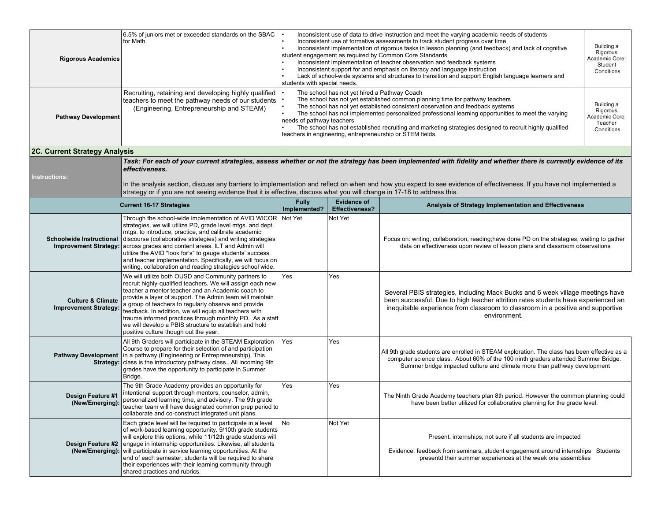| <b>Rigorous Academics</b>                                                                                                                                                                                                                                                                                                                                                                                                                                                                                      | 6.5% of juniors met or exceeded standards on the SBAC<br>for Math                                                                                                                                                                                                                                                                                                                                                                                                                                                     | Inconsistent use of data to drive instruction and meet the varying academic needs of students<br>Inconsistent use of formative assessments to track student progress over time<br>Inconsistent implementation of rigorous tasks in lesson planning (and feedback) and lack of cognitive<br>student engagement as required by Common Core Standards<br>Academic Core:<br>Inconsistent implementation of teacher observation and feedback systems<br>Inconsistent support for and emphasis on literacy and language instruction<br>Lack of school-wide systems and structures to transition and support English language learners and<br>students with special needs. |                                             |                                                                                                                                                                                                                                                                        |  |  |  |  |
|----------------------------------------------------------------------------------------------------------------------------------------------------------------------------------------------------------------------------------------------------------------------------------------------------------------------------------------------------------------------------------------------------------------------------------------------------------------------------------------------------------------|-----------------------------------------------------------------------------------------------------------------------------------------------------------------------------------------------------------------------------------------------------------------------------------------------------------------------------------------------------------------------------------------------------------------------------------------------------------------------------------------------------------------------|---------------------------------------------------------------------------------------------------------------------------------------------------------------------------------------------------------------------------------------------------------------------------------------------------------------------------------------------------------------------------------------------------------------------------------------------------------------------------------------------------------------------------------------------------------------------------------------------------------------------------------------------------------------------|---------------------------------------------|------------------------------------------------------------------------------------------------------------------------------------------------------------------------------------------------------------------------------------------------------------------------|--|--|--|--|
| <b>Pathway Development</b>                                                                                                                                                                                                                                                                                                                                                                                                                                                                                     | Recruiting, retaining and developing highly qualified<br>teachers to meet the pathway needs of our students<br>(Engineering, Entrepreneurship and STEAM)                                                                                                                                                                                                                                                                                                                                                              | The school has not yet hired a Pathway Coach<br>The school has not yet established common planning time for pathway teachers<br>The school has not yet established consistent observation and feedback systems<br>The school has not implemented personalized professional learning opportunities to meet the varying<br>Academic Core:<br>needs of pathway teachers<br>The school has not established recruiting and marketing strategies designed to recruit highly qualified<br>teachers in engineering, entrepreneurship or STEM fields.                                                                                                                        |                                             |                                                                                                                                                                                                                                                                        |  |  |  |  |
| 2C. Current Strategy Analysis                                                                                                                                                                                                                                                                                                                                                                                                                                                                                  |                                                                                                                                                                                                                                                                                                                                                                                                                                                                                                                       |                                                                                                                                                                                                                                                                                                                                                                                                                                                                                                                                                                                                                                                                     |                                             |                                                                                                                                                                                                                                                                        |  |  |  |  |
| Task: For each of your current strategies, assess whether or not the strategy has been implemented with fidelity and whether there is currently evidence of its<br>effectiveness.<br><b>Instructions:</b><br>In the analysis section, discuss any barriers to implementation and reflect on when and how you expect to see evidence of effectiveness. If you have not implemented a<br>strategy or if you are not seeing evidence that it is effective, discuss what you will change in 17-18 to address this. |                                                                                                                                                                                                                                                                                                                                                                                                                                                                                                                       |                                                                                                                                                                                                                                                                                                                                                                                                                                                                                                                                                                                                                                                                     |                                             |                                                                                                                                                                                                                                                                        |  |  |  |  |
|                                                                                                                                                                                                                                                                                                                                                                                                                                                                                                                | <b>Current 16-17 Strategies</b>                                                                                                                                                                                                                                                                                                                                                                                                                                                                                       | <b>Fully</b><br>Implemented?                                                                                                                                                                                                                                                                                                                                                                                                                                                                                                                                                                                                                                        | <b>Evidence of</b><br><b>Effectiveness?</b> | Analysis of Strategy Implementation and Effectiveness                                                                                                                                                                                                                  |  |  |  |  |
| <b>Schoolwide Instructional</b><br><b>Improvement Strategy:</b>                                                                                                                                                                                                                                                                                                                                                                                                                                                | Through the school-wide implementation of AVID WICOR Not Yet<br>strategies, we will utilize PD, grade level mtgs. and dept.<br>mtgs. to introduce, practice, and calibrate academic<br>discourse (collaborative strategies) and writing strategies<br>across grades and content areas. ILT and Admin will<br>utilize the AVID "look for's" to gauge students' success<br>and teacher implementation. Specifically, we will focus on<br>writing, collaboration and reading strategies school wide.                     |                                                                                                                                                                                                                                                                                                                                                                                                                                                                                                                                                                                                                                                                     | Not Yet                                     | Focus on: writing, collaboration, reading; have done PD on the strategies; waiting to gather<br>data on effectiveness upon review of lesson plans and classroom observations                                                                                           |  |  |  |  |
| <b>Culture &amp; Climate</b><br><b>Improvement Strategy:</b>                                                                                                                                                                                                                                                                                                                                                                                                                                                   | We will utilize both OUSD and Community partners to<br>recruit highly-qualified teachers. We will assign each new<br>teacher a mentor teacher and an Academic coach to<br>provide a layer of support. The Admin team will maintain<br>a group of teachers to regularly observe and provide<br>feedback. In addition, we will equip all teachers with<br>trauma informed practices through monthly PD. As a staff<br>we will develop a PBIS structure to establish and hold<br>positive culture though out the year.   | Yes                                                                                                                                                                                                                                                                                                                                                                                                                                                                                                                                                                                                                                                                 | Yes                                         | Several PBIS strategies, including Mack Bucks and 6 week village meetings have<br>been successful. Due to high teacher attrition rates students have experienced an<br>inequitable experience from classroom to classroom in a positive and supportive<br>environment. |  |  |  |  |
| <b>Pathway Development</b><br>Strategy:                                                                                                                                                                                                                                                                                                                                                                                                                                                                        | All 9th Graders will participate in the STEAM Exploration<br>Course to prepare for their selection of and participation<br>in a pathway (Engineering or Entrepreneurship). This<br>class is the introductory pathway class. All incoming 9th<br>grades have the opportunity to participate in Summer<br>Bridge.                                                                                                                                                                                                       | Yes                                                                                                                                                                                                                                                                                                                                                                                                                                                                                                                                                                                                                                                                 | Yes                                         | All 9th grade students are enrolled in STEAM exploration. The class has been effective as a<br>computer science class. About 60% of the 100 ninth graders attended Summer Bridge.<br>Summer bridge impacted culture and climate more than pathway development          |  |  |  |  |
| Design Feature #1<br>(New/Emerging):                                                                                                                                                                                                                                                                                                                                                                                                                                                                           | The 9th Grade Academy provides an opportunity for<br>intentional support through mentors, counselor, admin,<br>personalized learning time, and advisory. The 9th grade<br>teacher team will have designated common prep period to<br>collaborate and co-construct integrated unit plans.                                                                                                                                                                                                                              | Yes                                                                                                                                                                                                                                                                                                                                                                                                                                                                                                                                                                                                                                                                 | Yes                                         | The Ninth Grade Academy teachers plan 8th period. However the common planning could<br>have been better utilized for collaborative planning for the grade level.                                                                                                       |  |  |  |  |
|                                                                                                                                                                                                                                                                                                                                                                                                                                                                                                                | Each grade level will be required to participate in a level<br>of work-based learning opportunity. 9/10th grade students<br>will explore this options, while 11/12th grade students will<br><b>Design Feature #2</b> engage in internship opportunities. Likewise, all students<br>(New/Emerging): will participate in service learning opportunities. At the<br>end of each semester, students will be required to share<br>their experiences with their learning community through<br>shared practices and rubrics. | No                                                                                                                                                                                                                                                                                                                                                                                                                                                                                                                                                                                                                                                                  | Not Yet                                     | Present: internships; not sure if all students are impacted<br>Evidence: feedback from seminars, student engagement around internships Students<br>presentd their summer experiences at the week one assemblies                                                        |  |  |  |  |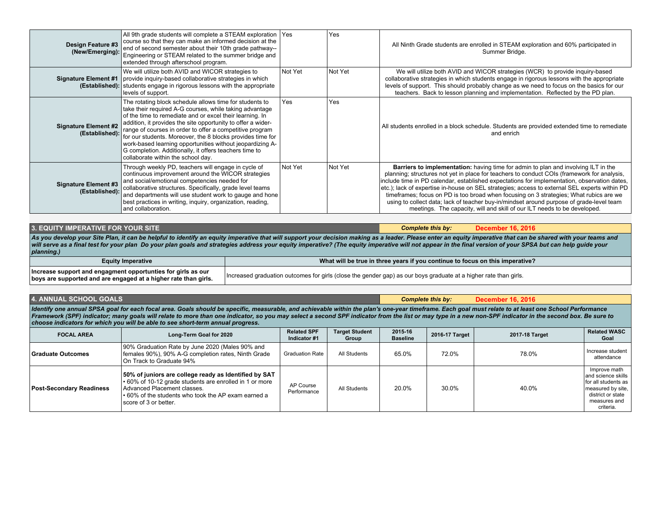| Design Feature #3<br>(New/Emerging):          | All 9th grade students will complete a STEAM exploration   Yes<br>course so that they can make an informed decision at the<br>end of second semester about their 10th grade pathway--<br>Engineering or STEAM related to the summer bridge and<br>extended through afterschool program.                                                                                                                                                                                                                                               |         | Yes     | All Ninth Grade students are enrolled in STEAM exploration and 60% participated in<br>Summer Bridge.                                                                                                                                                                                                                                                                                                                                                                                                                                                                                                                                                 |
|-----------------------------------------------|---------------------------------------------------------------------------------------------------------------------------------------------------------------------------------------------------------------------------------------------------------------------------------------------------------------------------------------------------------------------------------------------------------------------------------------------------------------------------------------------------------------------------------------|---------|---------|------------------------------------------------------------------------------------------------------------------------------------------------------------------------------------------------------------------------------------------------------------------------------------------------------------------------------------------------------------------------------------------------------------------------------------------------------------------------------------------------------------------------------------------------------------------------------------------------------------------------------------------------------|
|                                               | We will utilize both AVID and WICOR strategies to<br><b>Signature Element #1</b> provide inquiry-based collaborative strategies in which<br>(Established): students engage in rigorous lessons with the appropriate<br>levels of support.                                                                                                                                                                                                                                                                                             | Not Yet | Not Yet | We will utilize both AVID and WICOR strategies (WCR) to provide inquiry-based<br>collaborative strategies in which students engage in rigorous lessons with the appropriate<br>levels of support. This should probably change as we need to focus on the basics for our<br>teachers. Back to lesson planning and implementation. Reflected by the PD plan.                                                                                                                                                                                                                                                                                           |
| <b>Signature Element #2</b><br>(Established): | The rotating block schedule allows time for students to<br>take their required A-G courses, while taking advantage<br>of the time to remediate and or excel their learning. In<br>addition, it provides the site opportunity to offer a wider-<br>range of courses in order to offer a competitive program<br>for our students. Moreover, the 8 blocks provides time for<br>work-based learning opportunities without jeopardizing A-<br>G completion. Additionally, it offers teachers time to<br>collaborate within the school day. | Yes     | Yes     | All students enrolled in a block schedule. Students are provided extended time to remediate<br>and enrich                                                                                                                                                                                                                                                                                                                                                                                                                                                                                                                                            |
| <b>Signature Element #3</b><br>(Established): | Through weekly PD, teachers will engage in cycle of<br>continuous improvement around the WICOR strategies<br>and social/emotional competencies needed for<br>collaborative structures. Specifically, grade level teams<br>and departments will use student work to gauge and hone<br>best practices in writing, inquiry, organization, reading,<br>and collaboration.                                                                                                                                                                 | Not Yet | Not Yet | Barriers to implementation: having time for admin to plan and involving ILT in the<br>planning; structures not yet in place for teachers to conduct COIs (framework for analysis,<br>include time in PD calendar, established expectations for implementation, observation dates,<br>etc.); lack of expertise in-house on SEL strategies; access to external SEL experts within PD<br>timeframes; focus on PD is too broad when focusing on 3 strategies; What rubics are we<br>using to collect data; lack of teacher buy-in/mindset around purpose of grade-level team<br>meetings. The capacity, will and skill of our ILT needs to be developed. |

**3. EQUITY IMPERATIVE FOR YOUR SITE** *Complete this by:* **December 16, 2016**

*As you develop your Site Plan, it can be helpful to identify an equity imperative that will support your decision making as a leader. Please enter an equity imperative that can be shared with your teams and will serve as a final test for your plan Do your plan goals and strategies address your equity imperative? (The equity imperative will not appear in the final version of your SPSA but can help guide your planning.)*

| <b>Equity Imperative</b>                                                                                                        | What will be true in three years if you continue to focus on this imperative?                                    |
|---------------------------------------------------------------------------------------------------------------------------------|------------------------------------------------------------------------------------------------------------------|
| Increase support and engagment opportunties for girls as our<br>boys are supported and are engaged at a higher rate than girls. | Increased graduation outcomes for girls (close the gender gap) as our boys graduate at a higher rate than girls. |

| <b>4. ANNUAL SCHOOL GOALS</b>                                                                                                                                                                                                                                                                                                                                                                                                                                                                          |                                                                                                                                                                                                                                 |                                    |                                |                            | <b>Complete this by:</b> | <b>December 16, 2016</b> |                                                                                                                     |  |  |  |
|--------------------------------------------------------------------------------------------------------------------------------------------------------------------------------------------------------------------------------------------------------------------------------------------------------------------------------------------------------------------------------------------------------------------------------------------------------------------------------------------------------|---------------------------------------------------------------------------------------------------------------------------------------------------------------------------------------------------------------------------------|------------------------------------|--------------------------------|----------------------------|--------------------------|--------------------------|---------------------------------------------------------------------------------------------------------------------|--|--|--|
| Identify one annual SPSA goal for each focal area. Goals should be specific, measurable, and achievable within the plan's one-year timeframe. Each goal must relate to at least one School Performance<br>Framework (SPF) indicator; many goals will relate to more than one indicator, so you may select a second SPF indicator from the list or may type in a new non-SPF indicator in the second box. Be sure to<br>choose indicators for which you will be able to see short-term annual progress. |                                                                                                                                                                                                                                 |                                    |                                |                            |                          |                          |                                                                                                                     |  |  |  |
| <b>FOCAL AREA</b>                                                                                                                                                                                                                                                                                                                                                                                                                                                                                      | Long-Term Goal for 2020                                                                                                                                                                                                         | <b>Related SPF</b><br>Indicator #1 | <b>Target Student</b><br>Group | 2015-16<br><b>Baseline</b> | 2016-17 Target           | 2017-18 Target           | <b>Related WASC</b><br>Goal                                                                                         |  |  |  |
| Graduate Outcomes                                                                                                                                                                                                                                                                                                                                                                                                                                                                                      | 90% Graduation Rate by June 2020 (Males 90% and<br>females 90%), 90% A-G completion rates, Ninth Grade<br>On Track to Graduate 94%                                                                                              | <b>Graduation Rate</b>             | All Students                   | 65.0%                      | 72.0%                    | 78.0%                    | Increase student<br>attendance                                                                                      |  |  |  |
| <b>Post-Secondary Readiness</b>                                                                                                                                                                                                                                                                                                                                                                                                                                                                        | 50% of juniors are college ready as Identified by SAT<br>.60% of 10-12 grade students are enrolled in 1 or more<br>Advanced Placement classes.<br>• 60% of the students who took the AP exam earned a<br>Iscore of 3 or better. | AP Course<br>Performance           | All Students                   | 20.0%                      | 30.0%                    | 40.0%                    | Improve math<br>and science skills<br>for all students as<br>measured by site.<br>district or state<br>measures and |  |  |  |

criteria.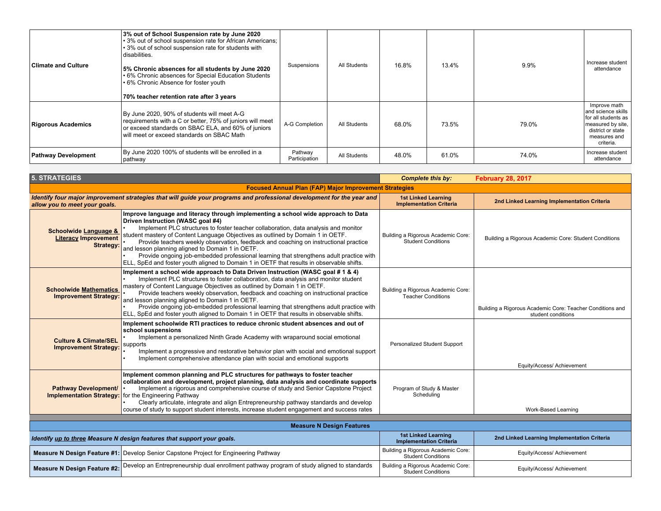| <b>Climate and Culture</b> | 3% out of School Suspension rate by June 2020<br>• 3% out of school suspension rate for African Americans;<br>• 3% out of school suspension rate for students with<br>disabilities.<br>5% Chronic absences for all students by June 2020<br>• 6% Chronic absences for Special Education Students<br>• 6% Chronic Absence for foster youth<br>70% teacher retention rate after 3 years | Suspensions              | All Students | 16.8% | 13.4% | 9.9%  | Increase student<br>attendance                                                                                                    |
|----------------------------|---------------------------------------------------------------------------------------------------------------------------------------------------------------------------------------------------------------------------------------------------------------------------------------------------------------------------------------------------------------------------------------|--------------------------|--------------|-------|-------|-------|-----------------------------------------------------------------------------------------------------------------------------------|
| <b>Rigorous Academics</b>  | By June 2020, 90% of students will meet A-G<br>requirements with a C or better, 75% of juniors will meet<br>or exceed standards on SBAC ELA, and 60% of juniors<br>will meet or exceed standards on SBAC Math                                                                                                                                                                         | A-G Completion           | All Students | 68.0% | 73.5% | 79.0% | Improve math<br>land science skills<br>for all students as<br>measured by site,<br>district or state<br>measures and<br>criteria. |
| <b>Pathway Development</b> | By June 2020 100% of students will be enrolled in a<br>pathway                                                                                                                                                                                                                                                                                                                        | Pathway<br>Participation | All Students | 48.0% | 61.0% | 74.0% | Increase student<br>attendance                                                                                                    |

| <b>5. STRATEGIES</b>                                                     |                                                                                                                                                                                                                                                                                                                                                                                                                                                                                                                                                                                                                                      | <b>Complete this by:</b>                                        | <b>February 28, 2017</b>                                                        |
|--------------------------------------------------------------------------|--------------------------------------------------------------------------------------------------------------------------------------------------------------------------------------------------------------------------------------------------------------------------------------------------------------------------------------------------------------------------------------------------------------------------------------------------------------------------------------------------------------------------------------------------------------------------------------------------------------------------------------|-----------------------------------------------------------------|---------------------------------------------------------------------------------|
|                                                                          | <b>Focused Annual Plan (FAP) Major Improvement Strategies</b>                                                                                                                                                                                                                                                                                                                                                                                                                                                                                                                                                                        |                                                                 |                                                                                 |
| allow you to meet your goals.                                            | Identify four major improvement strategies that will guide your programs and professional development for the year and                                                                                                                                                                                                                                                                                                                                                                                                                                                                                                               | <b>1st Linked Learning</b><br><b>Implementation Criteria</b>    | 2nd Linked Learning Implementation Criteria                                     |
| Schoolwide Language &<br><b>Literacy Improvement</b><br><b>Strategy:</b> | Improve language and literacy through implementing a school wide approach to Data<br>Driven Instruction (WASC goal #4)<br>Implement PLC structures to foster teacher collaboration, data analysis and monitor<br>student mastery of Content Language Objectives as outlined by Domain 1 in OETF.<br>Provide teachers weekly observation, feedback and coaching on instructional practice<br>and lesson planning aligned to Domain 1 in OETF.<br>Provide ongoing job-embedded professional learning that strengthens adult practice with<br>ELL, SpEd and foster youth aligned to Domain 1 in OETF that results in observable shifts. | Building a Rigorous Academic Core:<br><b>Student Conditions</b> | Building a Rigorous Academic Core: Student Conditions                           |
| <b>Schoolwide Mathematics</b><br><b>Improvement Strategy:</b>            | Implement a school wide approach to Data Driven Instruction (WASC goal #1 & 4)<br>Implement PLC structures to foster collaboration, data analysis and monitor student<br>mastery of Content Language Objectives as outlined by Domain 1 in OETF.<br>Provide teachers weekly observation, feedback and coaching on instructional practice<br>and lesson planning aligned to Domain 1 in OETF.<br>Provide ongoing job-embedded professional learning that strengthens adult practice with<br>ELL, SpEd and foster youth aligned to Domain 1 in OETF that results in observable shifts.                                                 | Building a Rigorous Academic Core:<br><b>Teacher Conditions</b> | Building a Rigorous Academic Core: Teacher Conditions and<br>student conditions |
| <b>Culture &amp; Climate/SEL</b><br><b>Improvement Strategy</b>          | Implement schoolwide RTI practices to reduce chronic student absences and out of<br>school suspensions<br>Implement a personalized Ninth Grade Academy with wraparound social emotional<br>supports<br>Implement a progressive and restorative behavior plan with social and emotional support<br>Implement comprehensive attendance plan with social and emotional supports                                                                                                                                                                                                                                                         | Personalized Student Support                                    | Equity/Access/ Achievement                                                      |
| <b>Pathway Development/</b><br><b>Implementation Strategy:</b>           | Implement common planning and PLC structures for pathways to foster teacher<br>collaboration and development, project planning, data analysis and coordinate supports<br>Implement a rigorous and comprehensive course of study and Senior Capstone Project<br>for the Engineering Pathway<br>Clearly articulate, integrate and align Entrepreneurship pathway standards and develop<br>course of study to support student interests, increase student engagement and success rates                                                                                                                                                  | Program of Study & Master<br>Scheduling                         | Work-Based Learning                                                             |
|                                                                          | <b>Measure N Design Features</b>                                                                                                                                                                                                                                                                                                                                                                                                                                                                                                                                                                                                     |                                                                 |                                                                                 |
|                                                                          | Identify up to three Measure N design features that support your goals.                                                                                                                                                                                                                                                                                                                                                                                                                                                                                                                                                              | <b>1st Linked Learning</b><br><b>Implementation Criteria</b>    | 2nd Linked Learning Implementation Criteria                                     |
|                                                                          | Measure N Design Feature #1: Develop Senior Capstone Project for Engineering Pathway                                                                                                                                                                                                                                                                                                                                                                                                                                                                                                                                                 | Building a Rigorous Academic Core:<br><b>Student Conditions</b> | Equity/Access/ Achievement                                                      |
| <b>Measure N Design Feature #2:</b>                                      | Develop an Entrepreneurship dual enrollment pathway program of study aligned to standards                                                                                                                                                                                                                                                                                                                                                                                                                                                                                                                                            | Building a Rigorous Academic Core:<br><b>Student Conditions</b> | Equity/Access/ Achievement                                                      |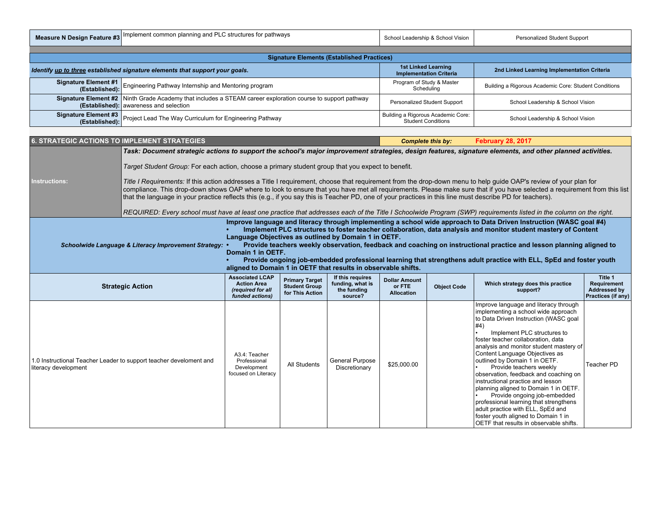| LC structures for no<br>↑ planning and PL<br>'Implement common<br>∵nathwavs<br>$-$<br>` School Vision<br>Personalize<br>sian<br>Measure l<br>eature #3<br>ershin<br>אי | udent Support |
|------------------------------------------------------------------------------------------------------------------------------------------------------------------------|---------------|
|------------------------------------------------------------------------------------------------------------------------------------------------------------------------|---------------|

| <b>Signature Elements (Established Practices)</b> |                                                                                                                                                         |                                                                              |                                                       |  |  |  |  |  |  |
|---------------------------------------------------|---------------------------------------------------------------------------------------------------------------------------------------------------------|------------------------------------------------------------------------------|-------------------------------------------------------|--|--|--|--|--|--|
|                                                   | Identify up to three established signature elements that support your goals.                                                                            | <b>1st Linked Learning</b><br><b>Implementation Criteria</b>                 | 2nd Linked Learning Implementation Criteria           |  |  |  |  |  |  |
|                                                   | Signature Element #1<br>(Established): Engineering Pathway Internship and Mentoring program                                                             | Program of Study & Master<br>Scheduling                                      | Building a Rigorous Academic Core: Student Conditions |  |  |  |  |  |  |
|                                                   | Signature Element #2   Ninth Grade Academy that includes a STEAM career exploration course to support pathway<br>(Established): awareness and selection | <b>Personalized Student Support</b>                                          | School Leadership & School Vision                     |  |  |  |  |  |  |
|                                                   | Signature Element #3<br>(Established): Project Lead The Way Curriculum for Engineering Pathway                                                          | <sup>1</sup> Building a Rigorous Academic Core:<br><b>Student Conditions</b> | School Leadership & School Vision                     |  |  |  |  |  |  |

| <b>6. STRATEGIC ACTIONS TO IMPLEMENT STRATEGIES</b>                                                                                                                                                                                                                                                                                                                                                                                                                                                                                                                                                                                                                                       |                                                                                                                                                                                                                                                                                                                                                                                                                                                                                                             |                                                                                      |                                                                  |                                                                | <b>Complete this by:</b>                            | <b>February 28, 2017</b> |                                                                                                                                                                                                                                                                                                                                                                                                                                                                                                                                                                                                                                                                    |                                                                     |  |
|-------------------------------------------------------------------------------------------------------------------------------------------------------------------------------------------------------------------------------------------------------------------------------------------------------------------------------------------------------------------------------------------------------------------------------------------------------------------------------------------------------------------------------------------------------------------------------------------------------------------------------------------------------------------------------------------|-------------------------------------------------------------------------------------------------------------------------------------------------------------------------------------------------------------------------------------------------------------------------------------------------------------------------------------------------------------------------------------------------------------------------------------------------------------------------------------------------------------|--------------------------------------------------------------------------------------|------------------------------------------------------------------|----------------------------------------------------------------|-----------------------------------------------------|--------------------------|--------------------------------------------------------------------------------------------------------------------------------------------------------------------------------------------------------------------------------------------------------------------------------------------------------------------------------------------------------------------------------------------------------------------------------------------------------------------------------------------------------------------------------------------------------------------------------------------------------------------------------------------------------------------|---------------------------------------------------------------------|--|
| Task: Document strategic actions to support the school's major improvement strategies, design features, signature elements, and other planned activities.<br>Target Student Group: For each action, choose a primary student group that you expect to benefit.<br>Title I Requirements: If this action addresses a Title I requirement, choose that requirement from the drop-down menu to help quide OAP's review of your plan for<br>Instructions:                                                                                                                                                                                                                                      |                                                                                                                                                                                                                                                                                                                                                                                                                                                                                                             |                                                                                      |                                                                  |                                                                |                                                     |                          |                                                                                                                                                                                                                                                                                                                                                                                                                                                                                                                                                                                                                                                                    |                                                                     |  |
|                                                                                                                                                                                                                                                                                                                                                                                                                                                                                                                                                                                                                                                                                           | compliance. This drop-down shows OAP where to look to ensure that you have met all requirements. Please make sure that if you have selected a requirement from this list<br>that the language in your practice reflects this (e.g., if you say this is Teacher PD, one of your practices in this line must describe PD for teachers).<br>REQUIRED: Every school must have at least one practice that addresses each of the Title I Schoolwide Program (SWP) requirements listed in the column on the right. |                                                                                      |                                                                  |                                                                |                                                     |                          |                                                                                                                                                                                                                                                                                                                                                                                                                                                                                                                                                                                                                                                                    |                                                                     |  |
| Improve language and literacy through implementing a school wide approach to Data Driven Instruction (WASC goal #4)<br>Implement PLC structures to foster teacher collaboration, data analysis and monitor student mastery of Content<br>Language Objectives as outlined by Domain 1 in OETF.<br>Provide teachers weekly observation, feedback and coaching on instructional practice and lesson planning aligned to<br>Schoolwide Language & Literacy Improvement Strategy:<br>Domain 1 in OETF.<br>Provide ongoing job-embedded professional learning that strengthens adult practice with ELL, SpEd and foster youth<br>aligned to Domain 1 in OETF that results in observable shifts. |                                                                                                                                                                                                                                                                                                                                                                                                                                                                                                             |                                                                                      |                                                                  |                                                                |                                                     |                          |                                                                                                                                                                                                                                                                                                                                                                                                                                                                                                                                                                                                                                                                    |                                                                     |  |
|                                                                                                                                                                                                                                                                                                                                                                                                                                                                                                                                                                                                                                                                                           | <b>Strategic Action</b>                                                                                                                                                                                                                                                                                                                                                                                                                                                                                     | <b>Associated LCAP</b><br><b>Action Area</b><br>(required for all<br>funded actions) | <b>Primary Target</b><br><b>Student Group</b><br>for This Action | If this requires<br>funding, what is<br>the funding<br>source? | <b>Dollar Amount</b><br>or FTE<br><b>Allocation</b> | <b>Object Code</b>       | Which strategy does this practice<br>support?                                                                                                                                                                                                                                                                                                                                                                                                                                                                                                                                                                                                                      | Title 1<br>Requirement<br><b>Addressed by</b><br>Practices (if any) |  |
| literacy development                                                                                                                                                                                                                                                                                                                                                                                                                                                                                                                                                                                                                                                                      | 1.0 Instructional Teacher Leader to support teacher develoment and                                                                                                                                                                                                                                                                                                                                                                                                                                          | A3.4: Teacher<br>Professional<br>Development<br>focused on Literacy                  | All Students                                                     | <b>General Purpose</b><br>Discretionary                        | \$25,000.00                                         |                          | Improve language and literacy through<br>implementing a school wide approach<br>to Data Driven Instruction (WASC goal<br>#4)<br>Implement PLC structures to<br>foster teacher collaboration, data<br>analysis and monitor student mastery of<br>Content Language Objectives as<br>outlined by Domain 1 in OETF.<br>Provide teachers weekly<br>observation, feedback and coaching on<br>instructional practice and lesson<br>planning aligned to Domain 1 in OETF.<br>Provide ongoing job-embedded<br>professional learning that strengthens<br>adult practice with ELL, SpEd and<br>foster youth aligned to Domain 1 in<br>OETF that results in observable shifts. | <b>Teacher PD</b>                                                   |  |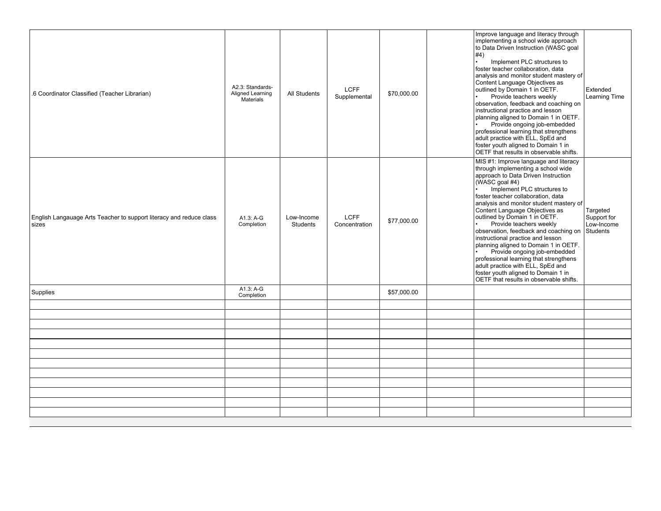| .6 Coordinator Classified (Teacher Librarian)                                | A2.3: Standards-<br>Aligned Learning<br>Materials | All Students                  | <b>LCFF</b><br>Supplemental  | \$70,000.00 | Improve language and literacy through<br>implementing a school wide approach<br>to Data Driven Instruction (WASC goal<br>#4)<br>Implement PLC structures to<br>foster teacher collaboration, data<br>analysis and monitor student mastery of<br>Content Language Objectives as<br>outlined by Domain 1 in OETF.<br>Provide teachers weekly<br>observation, feedback and coaching on<br>instructional practice and lesson<br>planning aligned to Domain 1 in OETF.<br>Provide ongoing job-embedded<br>professional learning that strengthens<br>adult practice with ELL, SpEd and<br>foster youth aligned to Domain 1 in<br>OETF that results in observable shifts.                  | Extended<br>Learning Time             |
|------------------------------------------------------------------------------|---------------------------------------------------|-------------------------------|------------------------------|-------------|-------------------------------------------------------------------------------------------------------------------------------------------------------------------------------------------------------------------------------------------------------------------------------------------------------------------------------------------------------------------------------------------------------------------------------------------------------------------------------------------------------------------------------------------------------------------------------------------------------------------------------------------------------------------------------------|---------------------------------------|
| English Langauage Arts Teacher to support literacy and reduce class<br>sizes | $A1.3: A-G$<br>Completion                         | Low-Income<br><b>Students</b> | <b>LCFF</b><br>Concentration | \$77,000.00 | MIS #1: Improve language and literacy<br>through implementing a school wide<br>approach to Data Driven Instruction<br>(WASC goal #4)<br>Implement PLC structures to<br>foster teacher collaboration, data<br>analysis and monitor student mastery of<br>Content Language Objectives as<br>outlined by Domain 1 in OETF.<br>Provide teachers weekly<br>observation, feedback and coaching on Students<br>instructional practice and lesson<br>planning aligned to Domain 1 in OETF.<br>Provide ongoing job-embedded<br>professional learning that strengthens<br>adult practice with ELL, SpEd and<br>foster youth aligned to Domain 1 in<br>OETF that results in observable shifts. | Targeted<br>Support for<br>Low-Income |
| Supplies                                                                     | A1.3: A-G<br>Completion                           |                               |                              | \$57,000.00 |                                                                                                                                                                                                                                                                                                                                                                                                                                                                                                                                                                                                                                                                                     |                                       |
|                                                                              |                                                   |                               |                              |             |                                                                                                                                                                                                                                                                                                                                                                                                                                                                                                                                                                                                                                                                                     |                                       |
|                                                                              |                                                   |                               |                              |             |                                                                                                                                                                                                                                                                                                                                                                                                                                                                                                                                                                                                                                                                                     |                                       |
|                                                                              |                                                   |                               |                              |             |                                                                                                                                                                                                                                                                                                                                                                                                                                                                                                                                                                                                                                                                                     |                                       |
|                                                                              |                                                   |                               |                              |             |                                                                                                                                                                                                                                                                                                                                                                                                                                                                                                                                                                                                                                                                                     |                                       |
|                                                                              |                                                   |                               |                              |             |                                                                                                                                                                                                                                                                                                                                                                                                                                                                                                                                                                                                                                                                                     |                                       |
|                                                                              |                                                   |                               |                              |             |                                                                                                                                                                                                                                                                                                                                                                                                                                                                                                                                                                                                                                                                                     |                                       |
|                                                                              |                                                   |                               |                              |             |                                                                                                                                                                                                                                                                                                                                                                                                                                                                                                                                                                                                                                                                                     |                                       |
|                                                                              |                                                   |                               |                              |             |                                                                                                                                                                                                                                                                                                                                                                                                                                                                                                                                                                                                                                                                                     |                                       |
|                                                                              |                                                   |                               |                              |             |                                                                                                                                                                                                                                                                                                                                                                                                                                                                                                                                                                                                                                                                                     |                                       |
|                                                                              |                                                   |                               |                              |             |                                                                                                                                                                                                                                                                                                                                                                                                                                                                                                                                                                                                                                                                                     |                                       |
|                                                                              |                                                   |                               |                              |             |                                                                                                                                                                                                                                                                                                                                                                                                                                                                                                                                                                                                                                                                                     |                                       |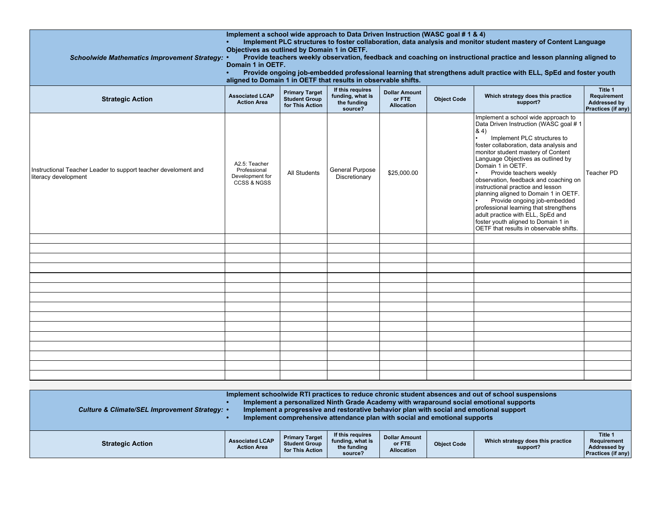| <b>Schoolwide Mathematics Improvement Strategy:</b>                                    |                                                                            | Implement a school wide approach to Data Driven Instruction (WASC goal #1 & 4)<br>Implement PLC structures to foster collaboration, data analysis and monitor student mastery of Content Language<br>Objectives as outlined by Domain 1 in OETF.<br>Provide teachers weekly observation, feedback and coaching on instructional practice and lesson planning aligned to<br>Domain 1 in OETF.<br>Provide ongoing job-embedded professional learning that strengthens adult practice with ELL, SpEd and foster youth<br>aligned to Domain 1 in OETF that results in observable shifts. |                                                                            |                                                     |                    |                                                                                                                                                                                                                                                                                                                                                                                                                                                                                                                                                                                                                     |                                                                                   |  |  |  |
|----------------------------------------------------------------------------------------|----------------------------------------------------------------------------|--------------------------------------------------------------------------------------------------------------------------------------------------------------------------------------------------------------------------------------------------------------------------------------------------------------------------------------------------------------------------------------------------------------------------------------------------------------------------------------------------------------------------------------------------------------------------------------|----------------------------------------------------------------------------|-----------------------------------------------------|--------------------|---------------------------------------------------------------------------------------------------------------------------------------------------------------------------------------------------------------------------------------------------------------------------------------------------------------------------------------------------------------------------------------------------------------------------------------------------------------------------------------------------------------------------------------------------------------------------------------------------------------------|-----------------------------------------------------------------------------------|--|--|--|
| <b>Strategic Action</b>                                                                | <b>Associated LCAP</b><br><b>Action Area</b>                               | <b>Primary Target</b><br><b>Student Group</b><br>for This Action                                                                                                                                                                                                                                                                                                                                                                                                                                                                                                                     | If this requires<br>funding, what is<br>the funding<br>source?             | <b>Dollar Amount</b><br>or FTE<br><b>Allocation</b> | <b>Object Code</b> | Which strategy does this practice<br>support?                                                                                                                                                                                                                                                                                                                                                                                                                                                                                                                                                                       | Title 1<br><b>Requirement</b><br><b>Addressed by</b><br>Practices (if any)        |  |  |  |
| Instructional Teacher Leader to support teacher develoment and<br>literacy development | A2.5: Teacher<br>Professional<br>Development for<br><b>CCSS &amp; NGSS</b> | All Students                                                                                                                                                                                                                                                                                                                                                                                                                                                                                                                                                                         | General Purpose<br>Discretionary                                           | \$25,000.00                                         |                    | Implement a school wide approach to<br>Data Driven Instruction (WASC goal #1<br>8, 4)<br>Implement PLC structures to<br>foster collaboration, data analysis and<br>monitor student mastery of Content<br>Language Objectives as outlined by<br>Domain 1 in OETF.<br>Provide teachers weekly<br>observation, feedback and coaching on<br>instructional practice and lesson<br>planning aligned to Domain 1 in OETF.<br>Provide ongoing job-embedded<br>professional learning that strengthens<br>adult practice with ELL, SpEd and<br>foster youth aligned to Domain 1 in<br>OETF that results in observable shifts. | Teacher PD                                                                        |  |  |  |
|                                                                                        |                                                                            |                                                                                                                                                                                                                                                                                                                                                                                                                                                                                                                                                                                      |                                                                            |                                                     |                    |                                                                                                                                                                                                                                                                                                                                                                                                                                                                                                                                                                                                                     |                                                                                   |  |  |  |
|                                                                                        |                                                                            |                                                                                                                                                                                                                                                                                                                                                                                                                                                                                                                                                                                      |                                                                            |                                                     |                    |                                                                                                                                                                                                                                                                                                                                                                                                                                                                                                                                                                                                                     |                                                                                   |  |  |  |
|                                                                                        |                                                                            |                                                                                                                                                                                                                                                                                                                                                                                                                                                                                                                                                                                      |                                                                            |                                                     |                    |                                                                                                                                                                                                                                                                                                                                                                                                                                                                                                                                                                                                                     |                                                                                   |  |  |  |
|                                                                                        |                                                                            |                                                                                                                                                                                                                                                                                                                                                                                                                                                                                                                                                                                      |                                                                            |                                                     |                    |                                                                                                                                                                                                                                                                                                                                                                                                                                                                                                                                                                                                                     |                                                                                   |  |  |  |
|                                                                                        |                                                                            |                                                                                                                                                                                                                                                                                                                                                                                                                                                                                                                                                                                      |                                                                            |                                                     |                    |                                                                                                                                                                                                                                                                                                                                                                                                                                                                                                                                                                                                                     |                                                                                   |  |  |  |
|                                                                                        |                                                                            |                                                                                                                                                                                                                                                                                                                                                                                                                                                                                                                                                                                      |                                                                            |                                                     |                    |                                                                                                                                                                                                                                                                                                                                                                                                                                                                                                                                                                                                                     |                                                                                   |  |  |  |
|                                                                                        |                                                                            |                                                                                                                                                                                                                                                                                                                                                                                                                                                                                                                                                                                      |                                                                            |                                                     |                    |                                                                                                                                                                                                                                                                                                                                                                                                                                                                                                                                                                                                                     |                                                                                   |  |  |  |
|                                                                                        |                                                                            |                                                                                                                                                                                                                                                                                                                                                                                                                                                                                                                                                                                      |                                                                            |                                                     |                    |                                                                                                                                                                                                                                                                                                                                                                                                                                                                                                                                                                                                                     |                                                                                   |  |  |  |
|                                                                                        |                                                                            |                                                                                                                                                                                                                                                                                                                                                                                                                                                                                                                                                                                      |                                                                            |                                                     |                    |                                                                                                                                                                                                                                                                                                                                                                                                                                                                                                                                                                                                                     |                                                                                   |  |  |  |
|                                                                                        |                                                                            |                                                                                                                                                                                                                                                                                                                                                                                                                                                                                                                                                                                      |                                                                            |                                                     |                    |                                                                                                                                                                                                                                                                                                                                                                                                                                                                                                                                                                                                                     |                                                                                   |  |  |  |
|                                                                                        |                                                                            |                                                                                                                                                                                                                                                                                                                                                                                                                                                                                                                                                                                      |                                                                            |                                                     |                    |                                                                                                                                                                                                                                                                                                                                                                                                                                                                                                                                                                                                                     |                                                                                   |  |  |  |
|                                                                                        |                                                                            |                                                                                                                                                                                                                                                                                                                                                                                                                                                                                                                                                                                      |                                                                            |                                                     |                    |                                                                                                                                                                                                                                                                                                                                                                                                                                                                                                                                                                                                                     |                                                                                   |  |  |  |
|                                                                                        |                                                                            |                                                                                                                                                                                                                                                                                                                                                                                                                                                                                                                                                                                      |                                                                            |                                                     |                    |                                                                                                                                                                                                                                                                                                                                                                                                                                                                                                                                                                                                                     |                                                                                   |  |  |  |
|                                                                                        |                                                                            |                                                                                                                                                                                                                                                                                                                                                                                                                                                                                                                                                                                      |                                                                            |                                                     |                    |                                                                                                                                                                                                                                                                                                                                                                                                                                                                                                                                                                                                                     |                                                                                   |  |  |  |
| Culture & Climate/SEL Improvement Strategy: •                                          |                                                                            |                                                                                                                                                                                                                                                                                                                                                                                                                                                                                                                                                                                      | Implement comprehensive attendance plan with social and emotional supports |                                                     |                    | Implement schoolwide RTI practices to reduce chronic student absences and out of school suspensions<br>Implement a personalized Ninth Grade Academy with wraparound social emotional supports<br>Implement a progressive and restorative behavior plan with social and emotional support                                                                                                                                                                                                                                                                                                                            |                                                                                   |  |  |  |
| <b>Strategic Action</b>                                                                | <b>Associated LCAP</b><br><b>Action Area</b>                               | <b>Primary Target</b><br><b>Student Group</b><br>for This Action                                                                                                                                                                                                                                                                                                                                                                                                                                                                                                                     | If this requires<br>funding, what is<br>the funding<br>source?             | <b>Dollar Amount</b><br>or FTE<br><b>Allocation</b> | <b>Object Code</b> | Which strategy does this practice<br>support?                                                                                                                                                                                                                                                                                                                                                                                                                                                                                                                                                                       | Title 1<br><b>Requirement</b><br><b>Addressed by</b><br><b>Practices (if any)</b> |  |  |  |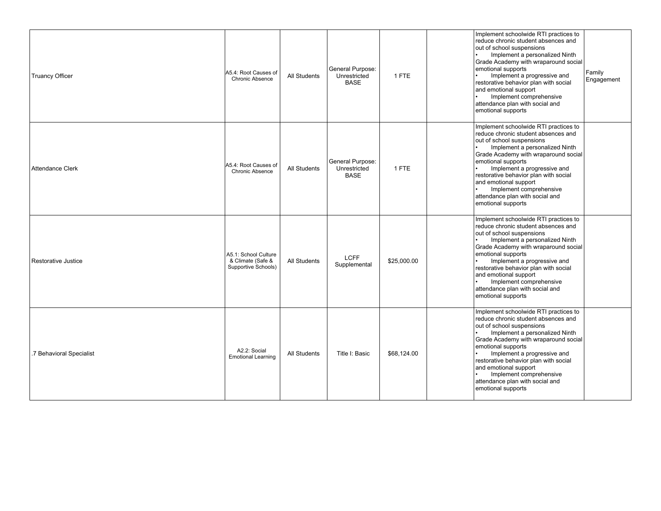| <b>Truancy Officer</b>   | A5.4: Root Causes of<br><b>Chronic Absence</b>                   | All Students        | General Purpose:<br>Unrestricted<br><b>BASE</b> | 1 FTE       | Implement schoolwide RTI practices to<br>reduce chronic student absences and<br>out of school suspensions<br>Implement a personalized Ninth<br>Grade Academy with wraparound social<br>emotional supports<br>Implement a progressive and<br>restorative behavior plan with social<br>and emotional support<br>Implement comprehensive<br>attendance plan with social and<br>emotional supports | Family<br>Engagement |
|--------------------------|------------------------------------------------------------------|---------------------|-------------------------------------------------|-------------|------------------------------------------------------------------------------------------------------------------------------------------------------------------------------------------------------------------------------------------------------------------------------------------------------------------------------------------------------------------------------------------------|----------------------|
| <b>Attendance Clerk</b>  | A5.4: Root Causes of<br><b>Chronic Absence</b>                   | <b>All Students</b> | General Purpose:<br>Unrestricted<br><b>BASE</b> | 1 FTE       | Implement schoolwide RTI practices to<br>reduce chronic student absences and<br>out of school suspensions<br>Implement a personalized Ninth<br>Grade Academy with wraparound social<br>emotional supports<br>Implement a progressive and<br>restorative behavior plan with social<br>and emotional support<br>Implement comprehensive<br>attendance plan with social and<br>emotional supports |                      |
| Restorative Justice      | A5.1: School Culture<br>& Climate (Safe &<br>Supportive Schools) | All Students        | <b>LCFF</b><br>Supplemental                     | \$25,000.00 | Implement schoolwide RTI practices to<br>reduce chronic student absences and<br>out of school suspensions<br>Implement a personalized Ninth<br>Grade Academy with wraparound social<br>emotional supports<br>Implement a progressive and<br>restorative behavior plan with social<br>and emotional support<br>Implement comprehensive<br>attendance plan with social and<br>emotional supports |                      |
| .7 Behavioral Specialist | A2.2: Social<br><b>Emotional Learning</b>                        | All Students        | Title I: Basic                                  | \$68,124.00 | Implement schoolwide RTI practices to<br>reduce chronic student absences and<br>out of school suspensions<br>Implement a personalized Ninth<br>Grade Academy with wraparound social<br>emotional supports<br>Implement a progressive and<br>restorative behavior plan with social<br>and emotional support<br>Implement comprehensive<br>attendance plan with social and<br>emotional supports |                      |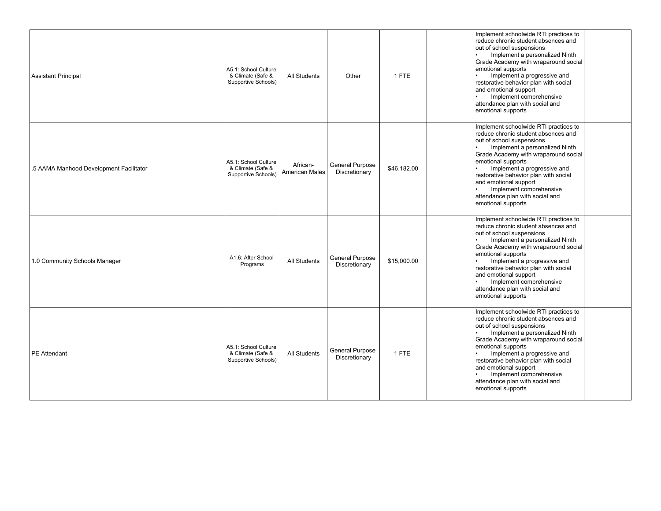| <b>Assistant Principal</b>              | A5.1: School Culture<br>& Climate (Safe &<br>Supportive Schools) | All Students               | Other                                   | 1 FTE       | Implement schoolwide RTI practices to<br>reduce chronic student absences and<br>out of school suspensions<br>Implement a personalized Ninth<br>Grade Academy with wraparound social<br>emotional supports<br>Implement a progressive and<br>restorative behavior plan with social<br>and emotional support<br>Implement comprehensive<br>attendance plan with social and<br>emotional supports |  |
|-----------------------------------------|------------------------------------------------------------------|----------------------------|-----------------------------------------|-------------|------------------------------------------------------------------------------------------------------------------------------------------------------------------------------------------------------------------------------------------------------------------------------------------------------------------------------------------------------------------------------------------------|--|
| .5 AAMA Manhood Development Facilitator | A5.1: School Culture<br>& Climate (Safe &<br>Supportive Schools) | African-<br>American Males | General Purpose<br>Discretionary        | \$46,182.00 | Implement schoolwide RTI practices to<br>reduce chronic student absences and<br>out of school suspensions<br>Implement a personalized Ninth<br>Grade Academy with wraparound social<br>emotional supports<br>Implement a progressive and<br>restorative behavior plan with social<br>and emotional support<br>Implement comprehensive<br>attendance plan with social and<br>emotional supports |  |
| 1.0 Community Schools Manager           | A1.6: After School<br>Programs                                   | All Students               | General Purpose<br>Discretionary        | \$15,000.00 | Implement schoolwide RTI practices to<br>reduce chronic student absences and<br>out of school suspensions<br>Implement a personalized Ninth<br>Grade Academy with wraparound social<br>emotional supports<br>Implement a progressive and<br>restorative behavior plan with social<br>and emotional support<br>Implement comprehensive<br>attendance plan with social and<br>emotional supports |  |
| <b>IPE Attendant</b>                    | A5.1: School Culture<br>& Climate (Safe &<br>Supportive Schools) | All Students               | <b>General Purpose</b><br>Discretionary | 1 FTE       | Implement schoolwide RTI practices to<br>reduce chronic student absences and<br>out of school suspensions<br>Implement a personalized Ninth<br>Grade Academy with wraparound social<br>emotional supports<br>Implement a progressive and<br>restorative behavior plan with social<br>and emotional support<br>Implement comprehensive<br>attendance plan with social and<br>emotional supports |  |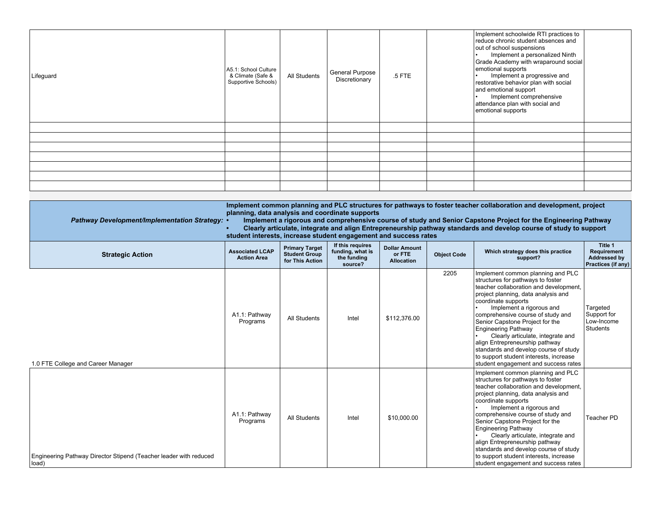| Lifeguard | A5.1: School Culture<br>& Climate (Safe &<br>Supportive Schools) | All Students | General Purpose<br>Discretionary | $.5$ FTE | Implement schoolwide RTI practices to<br>reduce chronic student absences and<br>out of school suspensions<br>Implement a personalized Ninth<br>Grade Academy with wraparound social<br>emotional supports<br>Implement a progressive and<br>restorative behavior plan with social<br>and emotional support<br>Implement comprehensive<br>$\bullet$<br>attendance plan with social and<br>emotional supports |  |
|-----------|------------------------------------------------------------------|--------------|----------------------------------|----------|-------------------------------------------------------------------------------------------------------------------------------------------------------------------------------------------------------------------------------------------------------------------------------------------------------------------------------------------------------------------------------------------------------------|--|
|           |                                                                  |              |                                  |          |                                                                                                                                                                                                                                                                                                                                                                                                             |  |
|           |                                                                  |              |                                  |          |                                                                                                                                                                                                                                                                                                                                                                                                             |  |
|           |                                                                  |              |                                  |          |                                                                                                                                                                                                                                                                                                                                                                                                             |  |
|           |                                                                  |              |                                  |          |                                                                                                                                                                                                                                                                                                                                                                                                             |  |
|           |                                                                  |              |                                  |          |                                                                                                                                                                                                                                                                                                                                                                                                             |  |
|           |                                                                  |              |                                  |          |                                                                                                                                                                                                                                                                                                                                                                                                             |  |
|           |                                                                  |              |                                  |          |                                                                                                                                                                                                                                                                                                                                                                                                             |  |

| Implement common planning and PLC structures for pathways to foster teacher collaboration and development, project<br>planning, data analysis and coordinate supports<br><b>Pathway Development/Implementation Strategy: •</b><br>Implement a rigorous and comprehensive course of study and Senior Capstone Project for the Engineering Pathway<br>Clearly articulate, integrate and align Entrepreneurship pathway standards and develop course of study to support<br>student interests, increase student engagement and success rates |                                              |                                                                  |                                                                |                                                     |                    |                                                                                                                                                                                                                                                                                                                                                                                                                                                                                                                    |                                                              |  |  |
|-------------------------------------------------------------------------------------------------------------------------------------------------------------------------------------------------------------------------------------------------------------------------------------------------------------------------------------------------------------------------------------------------------------------------------------------------------------------------------------------------------------------------------------------|----------------------------------------------|------------------------------------------------------------------|----------------------------------------------------------------|-----------------------------------------------------|--------------------|--------------------------------------------------------------------------------------------------------------------------------------------------------------------------------------------------------------------------------------------------------------------------------------------------------------------------------------------------------------------------------------------------------------------------------------------------------------------------------------------------------------------|--------------------------------------------------------------|--|--|
| <b>Strategic Action</b>                                                                                                                                                                                                                                                                                                                                                                                                                                                                                                                   | <b>Associated LCAP</b><br><b>Action Area</b> | <b>Primary Target</b><br><b>Student Group</b><br>for This Action | If this requires<br>funding, what is<br>the funding<br>source? | <b>Dollar Amount</b><br>or FTE<br><b>Allocation</b> | <b>Object Code</b> | Which strategy does this practice<br>support?                                                                                                                                                                                                                                                                                                                                                                                                                                                                      | Title 1<br>Requirement<br>Addressed by<br>Practices (if any) |  |  |
| 1.0 FTE College and Career Manager                                                                                                                                                                                                                                                                                                                                                                                                                                                                                                        | A1.1: Pathway<br>Programs                    | All Students                                                     | Intel                                                          | \$112,376.00                                        | 2205               | Implement common planning and PLC<br>structures for pathways to foster<br>teacher collaboration and development,<br>project planning, data analysis and<br>coordinate supports<br>Implement a rigorous and<br>comprehensive course of study and<br>Senior Capstone Project for the<br>Engineering Pathway<br>Clearly articulate, integrate and<br>align Entrepreneurship pathway<br>standards and develop course of study<br>to support student interests, increase<br>student engagement and success rates        | Targeted<br>Support for<br>Low-Income<br>Students            |  |  |
| Engineering Pathway Director Stipend (Teacher leader with reduced<br>load)                                                                                                                                                                                                                                                                                                                                                                                                                                                                | A1.1: Pathway<br>Programs                    | All Students                                                     | Intel                                                          | \$10,000.00                                         |                    | Implement common planning and PLC<br>structures for pathways to foster<br>teacher collaboration and development,<br>project planning, data analysis and<br>coordinate supports<br>Implement a rigorous and<br>comprehensive course of study and<br>Senior Capstone Project for the<br><b>Engineering Pathway</b><br>Clearly articulate, integrate and<br>align Entrepreneurship pathway<br>standards and develop course of study<br>to support student interests, increase<br>student engagement and success rates | Teacher PD                                                   |  |  |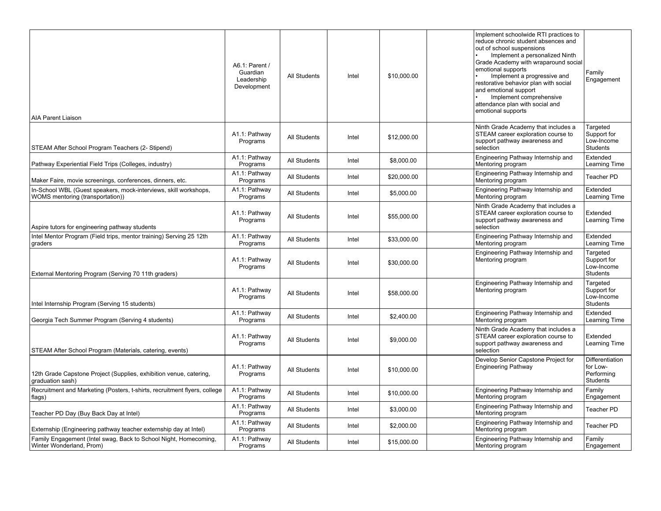| <b>AIA Parent Liaison</b>                                                                            | A6.1: Parent /<br>Guardian<br>Leadership<br>Development | All Students        | Intel | \$10,000.00 | Implement schoolwide RTI practices to<br>reduce chronic student absences and<br>out of school suspensions<br>Implement a personalized Ninth<br>Grade Academy with wraparound social<br>emotional supports<br>Implement a progressive and<br>restorative behavior plan with social<br>and emotional support<br>Implement comprehensive<br>attendance plan with social and<br>emotional supports | Family<br>Engagement                                                |
|------------------------------------------------------------------------------------------------------|---------------------------------------------------------|---------------------|-------|-------------|------------------------------------------------------------------------------------------------------------------------------------------------------------------------------------------------------------------------------------------------------------------------------------------------------------------------------------------------------------------------------------------------|---------------------------------------------------------------------|
| STEAM After School Program Teachers (2- Stipend)                                                     | A1.1: Pathway<br>Programs                               | <b>All Students</b> | Intel | \$12,000.00 | Ninth Grade Academy that includes a<br>STEAM career exploration course to<br>support pathway awareness and<br>selection                                                                                                                                                                                                                                                                        | Targeted<br>Support for<br>Low-Income<br>Students                   |
| Pathway Experiential Field Trips (Colleges, industry)                                                | A1.1: Pathway<br>Programs                               | All Students        | Intel | \$8,000.00  | Engineering Pathway Internship and<br>Mentoring program                                                                                                                                                                                                                                                                                                                                        | Extended<br>Learning Time                                           |
| Maker Faire, movie screenings, conferences, dinners, etc.                                            | A1.1: Pathway<br>Programs                               | All Students        | Intel | \$20,000.00 | Engineering Pathway Internship and<br>Mentoring program                                                                                                                                                                                                                                                                                                                                        | <b>Teacher PD</b>                                                   |
| In-School WBL (Guest speakers, mock-interviews, skill workshops,<br>WOMS mentoring (transportation)) | A1.1: Pathway<br>Programs                               | All Students        | Intel | \$5,000.00  | Engineering Pathway Internship and<br>Mentoring program                                                                                                                                                                                                                                                                                                                                        | Extended<br>Learning Time                                           |
| Aspire tutors for engineering pathway students                                                       | A1.1: Pathway<br>Programs                               | All Students        | Intel | \$55,000.00 | Ninth Grade Academy that includes a<br>STEAM career exploration course to<br>support pathway awareness and<br>selection                                                                                                                                                                                                                                                                        | Extended<br>Learning Time                                           |
| Intel Mentor Program (Field trips, mentor training) Serving 25 12th<br>graders                       | A1.1: Pathway<br>Programs                               | All Students        | Intel | \$33,000.00 | Engineering Pathway Internship and<br>Mentoring program                                                                                                                                                                                                                                                                                                                                        | Extended<br>Learning Time                                           |
| External Mentoring Program (Serving 70 11th graders)                                                 | A1.1: Pathway<br>Programs                               | All Students        | Intel | \$30,000.00 | Engineering Pathway Internship and<br>Mentoring program                                                                                                                                                                                                                                                                                                                                        | Targeted<br>Support for<br>Low-Income<br>Students                   |
| Intel Internship Program (Serving 15 students)                                                       | A1.1: Pathway<br>Programs                               | <b>All Students</b> | Intel | \$58,000.00 | Engineering Pathway Internship and<br>Mentoring program                                                                                                                                                                                                                                                                                                                                        | Targeted<br>Support for<br>Low-Income<br>Students                   |
| Georgia Tech Summer Program (Serving 4 students)                                                     | A1.1: Pathway<br>Programs                               | All Students        | Intel | \$2,400.00  | Engineering Pathway Internship and<br>Mentoring program                                                                                                                                                                                                                                                                                                                                        | Extended<br>Learning Time                                           |
| STEAM After School Program (Materials, catering, events)                                             | A1.1: Pathway<br>Programs                               | All Students        | Intel | \$9,000.00  | Ninth Grade Academy that includes a<br>STEAM career exploration course to<br>support pathway awareness and<br>selection                                                                                                                                                                                                                                                                        | Extended<br>Learning Time                                           |
| 12th Grade Capstone Project (Supplies, exhibition venue, catering,<br>graduation sash)               | A1.1: Pathway<br>Programs                               | All Students        | Intel | \$10,000.00 | Develop Senior Capstone Project for<br>Engineering Pathway                                                                                                                                                                                                                                                                                                                                     | <b>Differentiation</b><br>for Low-<br>Performing<br><b>Students</b> |
| Recruitment and Marketing (Posters, t-shirts, recruitment flyers, college<br>flags)                  | A1.1: Pathway<br>Programs                               | All Students        | Intel | \$10,000.00 | Engineering Pathway Internship and<br>Mentoring program                                                                                                                                                                                                                                                                                                                                        | Family<br>Engagement                                                |
| Teacher PD Day (Buy Back Day at Intel)                                                               | A1.1: Pathway<br>Programs                               | All Students        | Intel | \$3,000.00  | Engineering Pathway Internship and<br>Mentoring program                                                                                                                                                                                                                                                                                                                                        | Teacher PD                                                          |
| Externship (Engineering pathway teacher externship day at Intel)                                     | A1.1: Pathway<br>Programs                               | <b>All Students</b> | Intel | \$2,000.00  | Engineering Pathway Internship and<br>Mentoring program                                                                                                                                                                                                                                                                                                                                        | Teacher PD                                                          |
| Family Engagement (Intel swag, Back to School Night, Homecoming,<br>Winter Wonderland, Prom)         | A1.1: Pathway<br>Programs                               | All Students        | Intel | \$15,000.00 | Engineering Pathway Internship and<br>Mentoring program                                                                                                                                                                                                                                                                                                                                        | Family<br>Engagement                                                |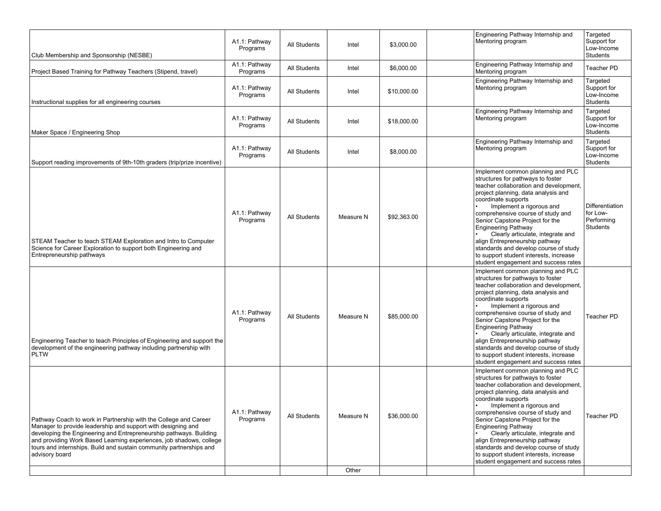| Club Membership and Sponsorship (NESBE)                                                                                                                                                                                                                                                                                                                                | A1.1: Pathway<br>Programs | <b>All Students</b> | Intel              | \$3,000.00  | Engineering Pathway Internship and<br>Mentoring program                                                                                                                                                                                                                                                                                                                                                                                                                                                            | Targeted<br>Support for<br>Low-Income<br>Students            |
|------------------------------------------------------------------------------------------------------------------------------------------------------------------------------------------------------------------------------------------------------------------------------------------------------------------------------------------------------------------------|---------------------------|---------------------|--------------------|-------------|--------------------------------------------------------------------------------------------------------------------------------------------------------------------------------------------------------------------------------------------------------------------------------------------------------------------------------------------------------------------------------------------------------------------------------------------------------------------------------------------------------------------|--------------------------------------------------------------|
| Project Based Training for Pathway Teachers (Stipend, travel)                                                                                                                                                                                                                                                                                                          | A1.1: Pathway<br>Programs | All Students        | Intel              | \$6,000.00  | Engineering Pathway Internship and<br>Mentoring program                                                                                                                                                                                                                                                                                                                                                                                                                                                            | Teacher PD                                                   |
| Instructional supplies for all engineering courses                                                                                                                                                                                                                                                                                                                     | A1.1: Pathway<br>Programs | <b>All Students</b> | Intel              | \$10,000.00 | Engineering Pathway Internship and<br>Mentoring program                                                                                                                                                                                                                                                                                                                                                                                                                                                            | Targeted<br>Support for<br>Low-Income<br><b>Students</b>     |
| Maker Space / Engineering Shop                                                                                                                                                                                                                                                                                                                                         | A1.1: Pathway<br>Programs | <b>All Students</b> | Intel              | \$18,000.00 | Engineering Pathway Internship and<br>Mentoring program                                                                                                                                                                                                                                                                                                                                                                                                                                                            | Targeted<br>Support for<br>Low-Income<br><b>Students</b>     |
| Support reading improvements of 9th-10th graders (trip/prize incentive)                                                                                                                                                                                                                                                                                                | A1.1: Pathway<br>Programs | <b>All Students</b> | Intel              | \$8,000.00  | Engineering Pathway Internship and<br>Mentoring program                                                                                                                                                                                                                                                                                                                                                                                                                                                            | Targeted<br>Support for<br>Low-Income<br><b>Students</b>     |
| STEAM Teacher to teach STEAM Exploration and Intro to Computer<br>Science for Career Exploration to support both Engineering and<br>Entrepreneurship pathways                                                                                                                                                                                                          | A1.1: Pathway<br>Programs | <b>All Students</b> | Measure N          | \$92,363.00 | Implement common planning and PLC<br>structures for pathways to foster<br>teacher collaboration and development,<br>project planning, data analysis and<br>coordinate supports<br>Implement a rigorous and<br>comprehensive course of study and<br>Senior Capstone Project for the<br><b>Engineering Pathway</b><br>Clearly articulate, integrate and<br>align Entrepreneurship pathway<br>standards and develop course of study<br>to support student interests, increase<br>student engagement and success rates | Differentiation<br>for Low-<br>Performing<br><b>Students</b> |
| Engineering Teacher to teach Principles of Engineering and support the<br>development of the engineering pathway including partnership with<br><b>PLTW</b>                                                                                                                                                                                                             | A1.1: Pathway<br>Programs | <b>All Students</b> | Measure N          | \$85,000.00 | Implement common planning and PLC<br>structures for pathways to foster<br>teacher collaboration and development,<br>project planning, data analysis and<br>coordinate supports<br>Implement a rigorous and<br>comprehensive course of study and<br>Senior Capstone Project for the<br><b>Engineering Pathway</b><br>Clearly articulate, integrate and<br>align Entrepreneurship pathway<br>standards and develop course of study<br>to support student interests, increase<br>student engagement and success rates | Teacher PD                                                   |
| Pathway Coach to work in Partnership with the College and Career<br>Manager to provide leadership and support with designing and<br>developing the Engineering and Entrepreneurship pathways. Building<br>and providing Work Based Learning experiences, job shadows, college<br>tours and internships. Build and sustain community partnerships and<br>advisory board | A1.1: Pathway<br>Programs | <b>All Students</b> | Measure N<br>Other | \$36,000.00 | Implement common planning and PLC<br>structures for pathways to foster<br>teacher collaboration and development,<br>project planning, data analysis and<br>coordinate supports<br>Implement a rigorous and<br>comprehensive course of study and<br>Senior Capstone Project for the<br><b>Engineering Pathway</b><br>Clearly articulate, integrate and<br>align Entrepreneurship pathway<br>standards and develop course of study<br>to support student interests, increase<br>student engagement and success rates | Teacher PD                                                   |
|                                                                                                                                                                                                                                                                                                                                                                        |                           |                     |                    |             |                                                                                                                                                                                                                                                                                                                                                                                                                                                                                                                    |                                                              |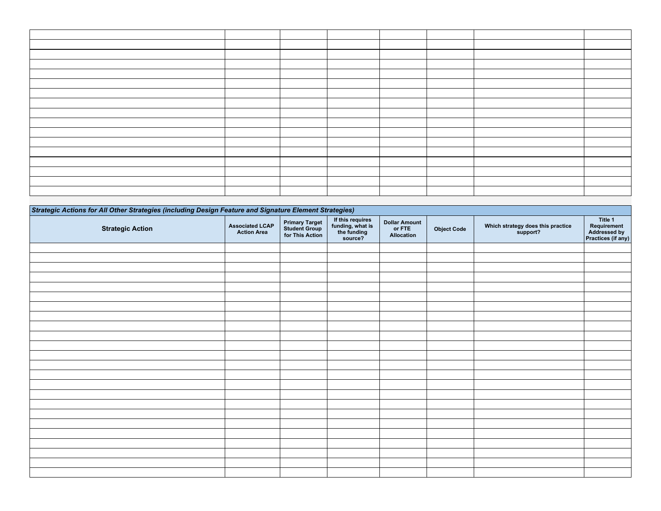| Strategic Actions for All Other Strategies (including Design Feature and Signature Element Strategies)<br>Title 1 |                                              |                                                             |                                                                |                                              |                    |                                               |                                                   |  |  |  |  |  |  |  |
|-------------------------------------------------------------------------------------------------------------------|----------------------------------------------|-------------------------------------------------------------|----------------------------------------------------------------|----------------------------------------------|--------------------|-----------------------------------------------|---------------------------------------------------|--|--|--|--|--|--|--|
| <b>Strategic Action</b>                                                                                           | <b>Associated LCAP</b><br><b>Action Area</b> | <b>Primary Target<br/>Student Group<br/>for This Action</b> | If this requires<br>funding, what is<br>the funding<br>source? | <b>Dollar Amount</b><br>or FTE<br>Allocation | <b>Object Code</b> | Which strategy does this practice<br>support? | Requirement<br>Addressed by<br>Practices (if any) |  |  |  |  |  |  |  |
|                                                                                                                   |                                              |                                                             |                                                                |                                              |                    |                                               |                                                   |  |  |  |  |  |  |  |
|                                                                                                                   |                                              |                                                             |                                                                |                                              |                    |                                               |                                                   |  |  |  |  |  |  |  |
|                                                                                                                   |                                              |                                                             |                                                                |                                              |                    |                                               |                                                   |  |  |  |  |  |  |  |
|                                                                                                                   |                                              |                                                             |                                                                |                                              |                    |                                               |                                                   |  |  |  |  |  |  |  |
|                                                                                                                   |                                              |                                                             |                                                                |                                              |                    |                                               |                                                   |  |  |  |  |  |  |  |
|                                                                                                                   |                                              |                                                             |                                                                |                                              |                    |                                               |                                                   |  |  |  |  |  |  |  |
|                                                                                                                   |                                              |                                                             |                                                                |                                              |                    |                                               |                                                   |  |  |  |  |  |  |  |
|                                                                                                                   |                                              |                                                             |                                                                |                                              |                    |                                               |                                                   |  |  |  |  |  |  |  |
|                                                                                                                   |                                              |                                                             |                                                                |                                              |                    |                                               |                                                   |  |  |  |  |  |  |  |
|                                                                                                                   |                                              |                                                             |                                                                |                                              |                    |                                               |                                                   |  |  |  |  |  |  |  |
|                                                                                                                   |                                              |                                                             |                                                                |                                              |                    |                                               |                                                   |  |  |  |  |  |  |  |
|                                                                                                                   |                                              |                                                             |                                                                |                                              |                    |                                               |                                                   |  |  |  |  |  |  |  |
|                                                                                                                   |                                              |                                                             |                                                                |                                              |                    |                                               |                                                   |  |  |  |  |  |  |  |
|                                                                                                                   |                                              |                                                             |                                                                |                                              |                    |                                               |                                                   |  |  |  |  |  |  |  |
|                                                                                                                   |                                              |                                                             |                                                                |                                              |                    |                                               |                                                   |  |  |  |  |  |  |  |
|                                                                                                                   |                                              |                                                             |                                                                |                                              |                    |                                               |                                                   |  |  |  |  |  |  |  |
|                                                                                                                   |                                              |                                                             |                                                                |                                              |                    |                                               |                                                   |  |  |  |  |  |  |  |
|                                                                                                                   |                                              |                                                             |                                                                |                                              |                    |                                               |                                                   |  |  |  |  |  |  |  |
|                                                                                                                   |                                              |                                                             |                                                                |                                              |                    |                                               |                                                   |  |  |  |  |  |  |  |
|                                                                                                                   |                                              |                                                             |                                                                |                                              |                    |                                               |                                                   |  |  |  |  |  |  |  |
|                                                                                                                   |                                              |                                                             |                                                                |                                              |                    |                                               |                                                   |  |  |  |  |  |  |  |
|                                                                                                                   |                                              |                                                             |                                                                |                                              |                    |                                               |                                                   |  |  |  |  |  |  |  |
|                                                                                                                   |                                              |                                                             |                                                                |                                              |                    |                                               |                                                   |  |  |  |  |  |  |  |
|                                                                                                                   |                                              |                                                             |                                                                |                                              |                    |                                               |                                                   |  |  |  |  |  |  |  |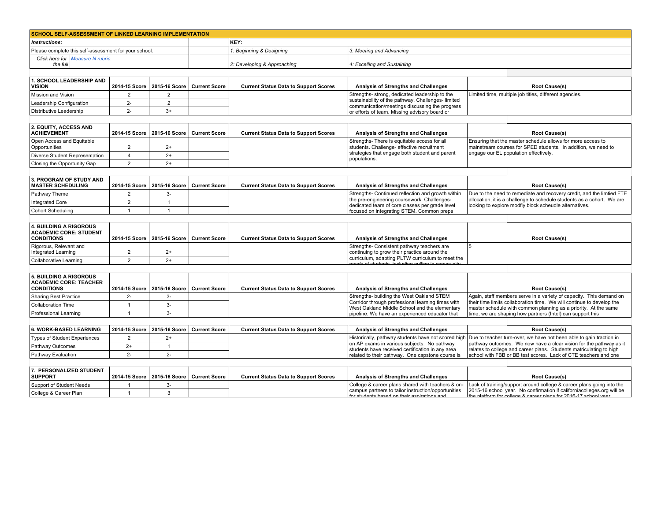| <b>SCHOOL SELF-ASSESSMENT OF LINKED LEARNING IMPLEMENTATION</b>                     |                |                |                               |                                              |                                                                                                          |                                                                                                                                                 |
|-------------------------------------------------------------------------------------|----------------|----------------|-------------------------------|----------------------------------------------|----------------------------------------------------------------------------------------------------------|-------------------------------------------------------------------------------------------------------------------------------------------------|
| Instructions:                                                                       |                |                |                               | KEY:                                         |                                                                                                          |                                                                                                                                                 |
| Please complete this self-assessment for your school.                               |                |                |                               | 1: Beginning & Designing                     | 3: Meeting and Advancing                                                                                 |                                                                                                                                                 |
| Click here for Measure N rubric.<br>the full                                        |                |                |                               | 2: Developing & Approaching                  | 4: Excelling and Sustaining                                                                              |                                                                                                                                                 |
|                                                                                     |                |                |                               |                                              |                                                                                                          |                                                                                                                                                 |
| <b>1. SCHOOL LEADERSHIP AND</b><br><b>VISION</b>                                    | 2014-15 Score  | 2015-16 Score  | <b>Current Score</b>          | <b>Current Status Data to Support Scores</b> | Analysis of Strengths and Challenges                                                                     | Root Cause(s)                                                                                                                                   |
| Mission and Vision                                                                  | $\overline{2}$ | 2              |                               |                                              | Strengths-strong, dedicated leadership to the                                                            | imited time, multiple job titles, different agencies.                                                                                           |
| Leadership Configuration                                                            | $2 -$          | $\overline{2}$ |                               |                                              | sustainability of the pathway. Challenges-limited<br>communication/meetings discussing the progress      |                                                                                                                                                 |
| Distributive Leadership                                                             | $2 -$          | $3+$           |                               |                                              | or efforts of team. Missing advisory board or                                                            |                                                                                                                                                 |
|                                                                                     |                |                |                               |                                              |                                                                                                          |                                                                                                                                                 |
| 2. EQUITY, ACCESS AND<br><b>ACHIEVEMENT</b>                                         | 2014-15 Score  | 2015-16 Score  | <b>Current Score</b>          | <b>Current Status Data to Support Scores</b> | Analysis of Strengths and Challenges                                                                     | <b>Root Cause(s)</b>                                                                                                                            |
| Open Access and Equitable                                                           |                |                |                               |                                              | Strengths- There is equitable access for all                                                             | Ensuring that the master schedule allows for more access to                                                                                     |
| Opportunities                                                                       | $\overline{2}$ | $2+$           |                               |                                              | students. Challenge- effective recruitment<br>strategies that engage both student and parent             | mainstream courses for SPED students. In addition, we need to<br>engage our EL population effectively.                                          |
| Diverse Student Representation                                                      | $\overline{4}$ | $2+$<br>$2+$   |                               |                                              | populations.                                                                                             |                                                                                                                                                 |
| Closing the Opportunity Gap                                                         | $\overline{2}$ |                |                               |                                              |                                                                                                          |                                                                                                                                                 |
| 3. PROGRAM OF STUDY AND                                                             |                |                |                               |                                              |                                                                                                          |                                                                                                                                                 |
| <b>MASTER SCHEDULING</b>                                                            | 2014-15 Score  | 2015-16 Score  | <b>Current Score</b>          | <b>Current Status Data to Support Scores</b> | Analysis of Strengths and Challenges                                                                     | Root Cause(s)                                                                                                                                   |
| Pathway Theme                                                                       | $\overline{2}$ | $3-$           |                               |                                              | Strengths- Continued reflection and growth within                                                        | Due to the need to remediate and recovery credit, and the limtied FTE                                                                           |
| Integrated Core                                                                     | $\overline{2}$ | $\mathbf{1}$   |                               |                                              | the pre-engineering coursework. Challenges-<br>dedicated team of core classes per grade level            | allocation, it is a challenge to schedule students as a cohort. We are<br>looking to explore modfiy block scheudle alternatives.                |
| <b>Cohort Scheduling</b>                                                            | $\mathbf{1}$   | $\mathbf{1}$   |                               |                                              | focused on integrating STEM. Common preps                                                                |                                                                                                                                                 |
|                                                                                     |                |                |                               |                                              |                                                                                                          |                                                                                                                                                 |
| <b>4. BUILDING A RIGOROUS</b><br><b>ACADEMIC CORE: STUDENT</b><br><b>CONDITIONS</b> | 2014-15 Score  | 2015-16 Score  | <b>Current Score</b>          | <b>Current Status Data to Support Scores</b> | Analysis of Strengths and Challenges                                                                     | <b>Root Cause(s)</b>                                                                                                                            |
| Rigorous, Relevant and                                                              |                |                |                               |                                              | Strengths- Consistent pathway teachers are                                                               | 5                                                                                                                                               |
| Integrated Learning                                                                 | 2              | $2+$           |                               |                                              | continuing to grow their practice around the<br>curriculum, adapting PLTW curriculum to meet the         |                                                                                                                                                 |
| Collaborative Learning                                                              | $\overline{2}$ | $2+$           |                               |                                              | ade of etudente including pulling in comp                                                                |                                                                                                                                                 |
|                                                                                     |                |                |                               |                                              |                                                                                                          |                                                                                                                                                 |
| <b>5. BUILDING A RIGOROUS</b><br><b>ACADEMIC CORE: TEACHER</b>                      |                |                |                               |                                              |                                                                                                          |                                                                                                                                                 |
| <b>CONDITIONS</b>                                                                   | 2014-15 Score  | 2015-16 Score  | <b>Current Score</b>          | <b>Current Status Data to Support Scores</b> | Analysis of Strengths and Challenges                                                                     | <b>Root Cause(s)</b>                                                                                                                            |
| <b>Sharing Best Practice</b>                                                        | $2 -$          | $3-$           |                               |                                              | Strengths- building the West Oakland STEM                                                                | Again, staff members serve in a variety of capacity. This demand on                                                                             |
| <b>Collaboration Time</b>                                                           | $\overline{1}$ | $3-$           |                               |                                              | Corridor through professional learning times with<br>West Oakland Middle School and the elementary       | their time limits collaboration time. We will continue to develop the<br>master schedule with common planning as a priority. At the same        |
| Professional Learning                                                               | $\mathbf{1}$   | $3-$           |                               |                                              | pipeline. We have an experienced educator that                                                           | time, we are shaping how partners (Intel) can support this                                                                                      |
|                                                                                     |                |                |                               |                                              |                                                                                                          |                                                                                                                                                 |
| <b>6. WORK-BASED LEARNING</b>                                                       | 2014-15 Score  |                | 2015-16 Score   Current Score | <b>Current Status Data to Support Scores</b> | Analysis of Strengths and Challenges                                                                     | <b>Root Cause(s)</b>                                                                                                                            |
| <b>Types of Student Experiences</b>                                                 | $\overline{2}$ | $2+$           |                               |                                              | Historically, pathway students have not scored high<br>on AP exams in various subjects. No pathway       | Due to teacher turn-over, we have not been able to gain traction in<br>pathway outcomes. We now have a clear vision for the pathway as it       |
| Pathway Outcomes                                                                    | $2+$           | $\mathbf{1}$   |                               |                                              | students have received certification in any area                                                         | relates to college and career plans. Students matriculating to high                                                                             |
| Pathway Evaluation                                                                  | $2 -$          | $2 -$          |                               |                                              | related to their pathway. One capstone course is                                                         | school with FBB or BB test scores. Lack of CTE teachers and one                                                                                 |
| 7. PERSONALIZED STUDENT                                                             |                |                |                               |                                              |                                                                                                          |                                                                                                                                                 |
| <b>SUPPORT</b>                                                                      | 2014-15 Score  | 2015-16 Score  | <b>Current Score</b>          | <b>Current Status Data to Support Scores</b> | Analysis of Strengths and Challenges                                                                     | <b>Root Cause(s)</b>                                                                                                                            |
| Support of Student Needs                                                            |                | $3-$           |                               |                                              | College & career plans shared with teachers & on-<br>campus partners to tailor instruction/opportunities | Lack of training/support around college & career plans going into the<br>2015-16 school year. No confirmation if californiacolleges.org will be |
| College & Career Plan                                                               | $\mathbf{1}$   | 3              |                               |                                              | for students hased on their asnirations and                                                              | the nigtform for college & career night for 2016-17 school year                                                                                 |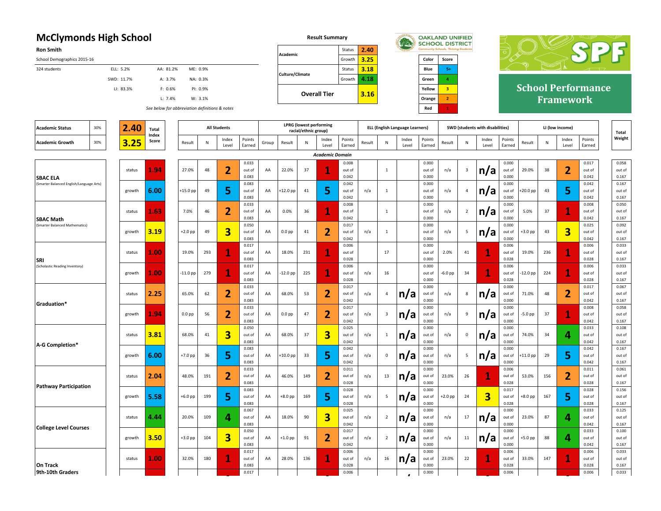| <b>McClymonds High School</b>            |     |            |        |                |                                                |          |                     |                  |       |                   |                      | <b>Result Summary</b>          |                  |        |                         |                                        |                  | <b>OAKLAND UNIFIED</b>  |                         |                                  |                  |            |           |                  |                           |                 |
|------------------------------------------|-----|------------|--------|----------------|------------------------------------------------|----------|---------------------|------------------|-------|-------------------|----------------------|--------------------------------|------------------|--------|-------------------------|----------------------------------------|------------------|-------------------------|-------------------------|----------------------------------|------------------|------------|-----------|------------------|---------------------------|-----------------|
| <b>Ron Smith</b>                         |     |            |        |                |                                                |          |                     |                  |       |                   |                      |                                | Status           | 2.40   |                         |                                        |                  | <b>SCHOOL DISTRICT</b>  |                         |                                  |                  |            |           |                  |                           |                 |
| School Demographics 2015-16              |     |            |        |                |                                                |          |                     |                  |       | Academic          |                      |                                | Growth           | 3.25   |                         |                                        | Color            | Score                   |                         |                                  |                  |            |           |                  |                           |                 |
| 324 students                             |     | ELL: 5.2%  |        |                | AA: 81.2%                                      | ME: 0.9% |                     |                  |       |                   |                      |                                | Status           | 3.18   |                         |                                        | Blue             | $5+$                    |                         |                                  |                  |            |           |                  |                           |                 |
|                                          |     | SWD: 11.7% |        |                | A: 3.7%                                        | NA: 0.3% |                     |                  |       | Culture/Climate   |                      |                                | Growth           | 4.18   |                         |                                        | Green            | 4                       |                         |                                  |                  |            |           |                  |                           |                 |
|                                          |     | LI: 83.3%  |        |                | F: 0.6%                                        | PI: 0.9% |                     |                  |       |                   |                      | <b>Overall Tier</b>            |                  | 3.16   |                         |                                        | Yellow           | $\overline{\mathbf{3}}$ |                         |                                  |                  |            |           |                  | <b>School Performance</b> |                 |
|                                          |     |            |        |                | L: 7.4%                                        | W: 3.1%  |                     |                  |       |                   |                      |                                |                  |        |                         |                                        | Orange           | $\overline{2}$          |                         |                                  |                  |            |           | <b>Framework</b> |                           |                 |
|                                          |     |            |        |                | See below for abbreviation definitions & notes |          |                     |                  |       |                   |                      |                                |                  |        |                         |                                        | Red              |                         |                         |                                  |                  |            |           |                  |                           |                 |
|                                          |     |            |        |                |                                                |          |                     |                  |       |                   |                      | <b>LPRG</b> (lowest performing |                  |        |                         |                                        |                  |                         |                         |                                  |                  |            |           |                  |                           |                 |
| <b>Academic Status</b>                   | 30% |            | 2.40   | Total<br>Index |                                                |          | <b>All Students</b> |                  |       |                   | racial/ethnic group) |                                |                  |        |                         | <b>ELL (English Language Learners)</b> |                  |                         |                         | SWD (students with disabilities) |                  |            |           | LI (low income)  |                           | Total<br>Weight |
| <b>Academic Growth</b>                   | 30% |            | 3.25   | Score          | Result                                         | N        | Index<br>Level      | Points<br>Earned | Group | Result            | N                    | Index<br>Level                 | Points<br>Earned | Result | N                       | Index<br>Level                         | Points<br>Earned | Result                  | ${\sf N}$               | Index<br>Level                   | Points<br>Earned | Result     | ${\sf N}$ | Index<br>Level   | Points<br>Earned          |                 |
|                                          |     |            |        |                |                                                |          |                     |                  |       |                   |                      | <b>Academic Domain</b>         |                  |        |                         |                                        |                  |                         |                         |                                  |                  |            |           |                  |                           |                 |
|                                          |     |            | status | 1.94           | 27.0%                                          | 48       | $\overline{2}$      | 0.033<br>out of  | AA    | 22.0%             | 37                   |                                | 0.008<br>out of  |        | $\mathbf{1}$            |                                        | 0.000<br>out of  | n/a                     | $\overline{\mathbf{3}}$ | n/a                              | 0.000<br>out of  | 29.0%      | 38        | 2                | 0.017<br>out of           | 0.058<br>out of |
| <b>SBAC ELA</b>                          |     |            |        |                |                                                |          |                     | 0.083            |       |                   |                      |                                | 0.042            |        |                         |                                        | 0.000            |                         |                         |                                  | 0.000            |            |           |                  | 0.042                     | 0.167           |
| (Smarter Balanced English/Language Arts) |     |            | growth | 6.00           | $+15.0$ pp                                     | 49       | 5                   | 0.083<br>out of  | AA    | $+12.0$ pp        | 41                   | 5                              | 0.042            | n/a    | $\mathbf{1}$            |                                        | 0.000<br>out of  | n/a                     | $\overline{a}$          |                                  | 0.000            | $+20.0$ pp | 43        | 5                | 0.042<br>out of           | 0.167<br>out of |
|                                          |     |            |        |                |                                                |          |                     | 0.083            |       |                   |                      |                                | out of<br>0.042  |        |                         |                                        | 0.000            |                         |                         | n/a                              | out of<br>0.000  |            |           |                  | 0.042                     | 0.167           |
|                                          |     |            |        |                |                                                |          |                     | 0.033            |       |                   |                      |                                | 0.008            |        |                         |                                        | 0.000            |                         |                         |                                  | 0.000            |            |           |                  | 0.008                     | 0.050           |
| <b>SBAC Math</b>                         |     |            | status | 1.63           | 7.0%                                           | 46       | 2                   | out of<br>0.083  | AA    | 0.0%              | 36                   |                                | out of<br>0.042  |        | $\mathbf{1}$            |                                        | out of<br>0.000  | n/a                     | $\overline{2}$          | n/a                              | out of<br>0.000  | 5.0%       | 37        |                  | out of<br>0.042           | out of<br>0.167 |
| (Smarter Balanced Mathematics)           |     |            |        |                |                                                |          |                     | 0.050            |       |                   |                      |                                | 0.017            |        |                         |                                        | 0.000            |                         |                         |                                  | 0.000            |            |           |                  | 0.025                     | 0.092           |
|                                          |     |            | growth | 3.19           | $+2.0$ pp                                      | 49       | 3                   | out of<br>0.083  | AA    | 0.0 <sub>pp</sub> | 41                   | 2                              | out of<br>0.042  | n/a    | 1                       |                                        | out of<br>0.000  | n/a                     | 5                       | n/a                              | out of<br>0.000  | $+3.0$ pp  | 43        | 3                | out of<br>0.042           | out of<br>0.167 |
|                                          |     |            |        |                |                                                |          |                     | 0.017            |       |                   |                      |                                | 0.006            |        |                         |                                        | 0.000            |                         |                         |                                  | 0.006            |            |           |                  | 0.006                     | 0.033           |
| SRI                                      |     |            | status | 1.00           | 19.0%                                          | 293      | 1                   | out of<br>0.083  | AA    | 18.0%             | 231                  |                                | out of<br>0.028  |        | 17                      |                                        | out of<br>0.000  | 2.0%                    | 41                      |                                  | out of<br>0.028  | 19.0%      | 236       |                  | out of<br>0.028           | out of<br>0.167 |
| (Scholastic Reading Inventory)           |     |            |        |                |                                                |          |                     | 0.017            |       |                   |                      |                                | 0.006            |        |                         |                                        | 0.000            |                         |                         |                                  | 0.006            |            |           |                  | 0.006                     | 0.033           |
|                                          |     |            | growth | 1.00           | $-11.0$ pp                                     | 279      | 1                   | out of<br>0.083  | AA    | $-12.0$ pp        | 225                  | 1                              | out of<br>0.028  | n/a    | 16                      |                                        | out of<br>0.000  | -6.0 pp                 | 34                      |                                  | out of<br>0.028  | -12.0 pp   | 224       |                  | out of<br>0.028           | out of<br>0.167 |
|                                          |     |            |        |                |                                                |          |                     | 0.033            |       |                   |                      |                                | 0.017            |        |                         |                                        | 0.000            |                         |                         |                                  | 0.000            |            |           |                  | 0.017                     | 0.067           |
|                                          |     |            | status | 2.25           | 65.0%                                          | 62       | 2                   | out of<br>0.083  | AA    | 68.0%             | 53                   | 2                              | out of<br>0.042  | n/a    | $\overline{4}$          | n/a                                    | out of<br>0.000  | n/a                     | 8                       | n/a                              | out of<br>0.000  | 71.0%      | 48        | 2                | out of<br>0.042           | out of<br>0.167 |
| Graduation*                              |     |            |        |                |                                                |          |                     | 0.033            |       |                   |                      |                                | 0.017            |        |                         |                                        | 0.000            |                         |                         |                                  | 0.000            |            |           |                  | 0.008                     | 0.058           |
|                                          |     |            | growth | 1.94           | $0.0$ pp                                       | 56       | $\overline{2}$      | out of           | AA    | 0.0 <sub>pp</sub> | 47                   | 2                              | out of           | n/a    | $\overline{\mathbf{3}}$ | n/a                                    | out of           | n/a                     | 9                       | n/a                              | out of           | -5.0 pp    | 37        |                  | out of                    | out of          |
|                                          |     |            |        |                |                                                |          |                     | 0.083<br>0.050   |       |                   |                      |                                | 0.042<br>0.025   |        |                         |                                        | 0.000<br>0.000   |                         |                         |                                  | 0.000<br>0.000   |            |           |                  | 0.042<br>0.033            | 0.167<br>0.108  |
|                                          |     |            | status | 3.81           | 68.0%                                          | 41       | 3                   | out of           | AA    | 68.0%             | 37                   | 3                              | out of           | n/a    | $\mathbf{1}$            | n/a                                    | out of           | n/a                     | $\mathbf 0$             | n/a                              | out of           | 74.0%      | 34        | 4                | out of                    | out of          |
| A-G Completion*                          |     |            |        |                |                                                |          |                     | 0.083<br>0.083   |       |                   |                      |                                | 0.042<br>0.042   |        |                         |                                        | 0.000<br>0.000   |                         |                         |                                  | 0.000<br>0.000   |            |           |                  | 0.042<br>0.042            | 0.167<br>0.167  |
|                                          |     |            | growth | 6.00           | +7.0 pp                                        | 36       | 5                   | out of           | AA    | +10.0 pp          | 33                   | 5                              | out of           | n/a    | $\mathbf 0$             | n/a                                    | out of           | n/a                     | 5                       | n/a                              | out of           | +11.0 pp   | 29        | 5                | out of                    | out of          |
|                                          |     |            |        |                |                                                |          |                     | 0.083<br>0.033   |       |                   |                      |                                | 0.042<br>0.011   |        |                         |                                        | 0.000<br>0.000   |                         |                         |                                  | 0.000<br>0.006   |            |           |                  | 0.042<br>0.011            | 0.167<br>0.061  |
|                                          |     |            | status | 2.04           | 48.0%                                          | 191      | 2                   | out of           | AA    | 46.0%             | 149                  | 2                              | out of           | n/a    | 13                      | n/a                                    | out of           | 23.0%                   | 26                      |                                  | out of           | 53.0%      | 156       | 2                | out of                    | out of          |
| Pathway Participation                    |     |            |        |                |                                                |          |                     | 0.083<br>0.083   |       |                   |                      |                                | 0.028<br>0.028   |        |                         |                                        | 0.000<br>0.000   |                         |                         |                                  | 0.028<br>0.017   |            |           |                  | 0.028<br>0.028            | 0.167<br>0.156  |
|                                          |     |            | growth | 5.58           | $+6.0$ pp                                      | 199      | 5                   | out of           | AA    | +8.0 pp           | 169                  | 5                              | out of           | n/a    | 5                       | n/a                                    | out of           | $+2.0$ pp               | 24                      | 3                                | out of           | +8.0 pp    | 167       | 5                | out of                    | out of          |
|                                          |     |            |        |                |                                                |          |                     | 0.083<br>0.067   |       |                   |                      |                                | 0.028<br>0.025   |        |                         |                                        | 0.000<br>0.000   |                         |                         |                                  | 0.028<br>0.000   |            |           |                  | 0.028<br>0.033            | 0.167<br>0.125  |
|                                          |     |            | status | 4.44           | 20.0%                                          | 109      | 4                   | out of           | AA    | 18.0%             | 90                   | 3                              | out of           | n/a    | $\overline{2}$          | n/a                                    | out of           | n/a                     | 17                      | n/a                              | out of           | 23.0%      | 87        | 4                | out of                    | out of          |
| <b>College Level Courses</b>             |     |            |        |                |                                                |          |                     | 0.083            |       |                   |                      |                                | 0.042            |        |                         |                                        | 0.000            |                         |                         |                                  | 0.000            |            |           |                  | 0.042                     | 0.167           |
|                                          |     |            | growth | 3.50           | $+3.0$ pp                                      | 104      | 3                   | 0.050<br>out of  | AA    | $+1.0$ pp         | 91                   | 2                              | 0.017<br>out of  | n/a    | $\overline{2}$          | n/a                                    | 0.000<br>out of  | n/a                     | 11                      | n/a                              | 0.000<br>out of  | +5.0 pp    | 88        | 4                | 0.033<br>out of           | 0.100<br>out of |
|                                          |     |            |        |                |                                                |          |                     | 0.083            |       |                   |                      |                                | 0.042            |        |                         |                                        | 0.000            |                         |                         |                                  | 0.000            |            |           |                  | 0.042                     | 0.167           |
|                                          |     |            | status | 1.00           | 32.0%                                          | 180      |                     | 0.017<br>out of  | AA    | 28.0%             | 136                  |                                | 0.006<br>out of  | n/a    | 16                      | n/a                                    | 0.000<br>out of  | 23.0%                   | 22                      |                                  | 0.006<br>out of  | 33.0%      | 147       |                  | 0.006<br>out of           | 0.033<br>out of |
| On Track                                 |     |            |        |                |                                                |          |                     | 0.083            |       |                   |                      |                                | 0.028            |        |                         |                                        | 0.000            |                         |                         |                                  | 0.028            |            |           |                  | 0.028                     | 0.167           |
| 9th-10th Graders                         |     |            |        |                |                                                |          |                     | 0.017            |       |                   |                      |                                | 0.006            |        |                         |                                        | 0.000            |                         |                         |                                  | 0.006            |            |           |                  | 0.006                     | 0.033           |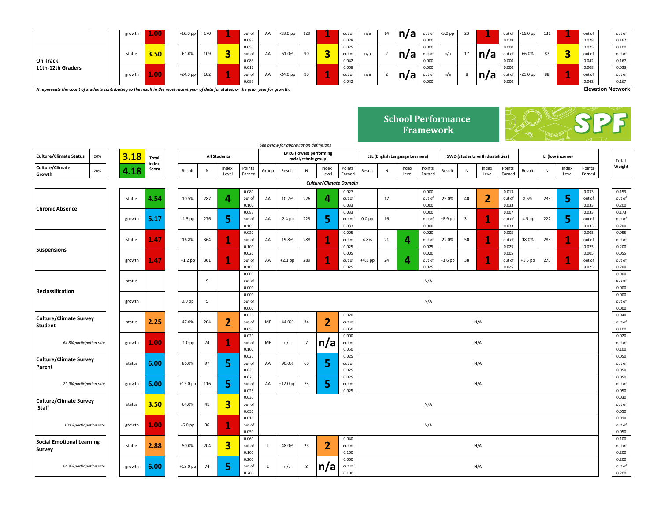|                   | growth | 1.00              | $-16.0$ pp | 170 | $\sim$ | out of<br>0.083          | AA | $-18.0$ pp $\vert$ | 129                   | <b>COLOR</b>      | out of<br>0.028          | n/a | n/a | out of<br>0.000          | $-3.0$ pp | 23 | <b>COLOR</b> | out of<br>0.028          | $-16.0$ pp | 131 | out of<br>0.028          | out of<br>0.167          |
|-------------------|--------|-------------------|------------|-----|--------|--------------------------|----|--------------------|-----------------------|-------------------|--------------------------|-----|-----|--------------------------|-----------|----|--------------|--------------------------|------------|-----|--------------------------|--------------------------|
| On Track          | status | 3.50 <sub>1</sub> | 61.0%      | 109 |        | 0.050<br>out o<br>0.083  | AA | 61.0%              | $\alpha$<br><u>JU</u> |                   | 0.025<br>out of<br>0.042 | n/a | n/a | 0.000<br>out of<br>0.000 | n/a       |    | n/a          | 0.000<br>out of<br>0.000 | 66.0%      |     | 0.025<br>out of<br>0.042 | 0.100<br>out of<br>0.167 |
| 11th-12th Graders | growth | 1.00              | $-24.0$ pp | 102 | $\sim$ | 0.017<br>out of<br>0.083 | AA | $-24.0$ pp         | $\alpha$              | <b>CONTRACTOR</b> | 0.008<br>out of<br>0.042 | n/a | n/a | 0.000<br>out of<br>0.000 | n/a       |    | n/a          | 0.000<br>out of<br>0.000 | $-21.0$ pp | 88  | 0.008<br>out of<br>0.042 | 0.033<br>out of<br>0.167 |

*N represents the count of students contributing to the result in the most recent year of data for status, or the prior year for growth.* **Elevation Network**

|  | . . |
|--|-----|
|  |     |

|                                  |     |        |                |                   |     |                         |                  |              | See below for abbreviation definitions |                      |                                |                  |                   |    |                                        |                  |           |    |                                  |                  |           |           |                 |                  |                 |
|----------------------------------|-----|--------|----------------|-------------------|-----|-------------------------|------------------|--------------|----------------------------------------|----------------------|--------------------------------|------------------|-------------------|----|----------------------------------------|------------------|-----------|----|----------------------------------|------------------|-----------|-----------|-----------------|------------------|-----------------|
| <b>Culture/Climate Status</b>    | 20% | 3.18   | <b>Total</b>   |                   |     | <b>All Students</b>     |                  |              |                                        | racial/ethnic group) | <b>LPRG</b> (lowest performing |                  |                   |    | <b>ELL (English Language Learners)</b> |                  |           |    | SWD (students with disabilities) |                  |           |           | LI (low income) |                  | Total           |
| Culture/Climate<br>Growth        | 20% | 4.18   | Index<br>Score | Result            | N   | Index<br>Level          | Points<br>Earned | Group        | Result                                 | N                    | Index<br>Level                 | Points<br>Earned | Result            | N  | Index<br>Level                         | Points<br>Earned | Result    | N  | Index<br>Level                   | Points<br>Earned | Result    | ${\sf N}$ | Index<br>Level  | Points<br>Earned | Weight          |
|                                  |     |        |                |                   |     |                         |                  |              |                                        |                      | <b>Culture/Climate Domain</b>  |                  |                   |    |                                        |                  |           |    |                                  |                  |           |           |                 |                  |                 |
|                                  |     |        |                |                   |     |                         | 0.080            |              |                                        |                      |                                | 0.027            |                   |    |                                        | 0.000            |           |    |                                  | 0.013            |           |           |                 | 0.033            | 0.153           |
|                                  |     | status | 4.54           | 10.5%             | 287 | 4                       | out of           | AA           | 10.2%                                  | 226                  | 4                              | out of           |                   | 17 |                                        | out of           | 25.0%     | 40 | $\overline{2}$                   | out of           | 8.6%      | 233       | 5               | out of           | out of          |
| <b>Chronic Absence</b>           |     |        |                |                   |     |                         | 0.100            |              |                                        |                      |                                | 0.033            |                   |    |                                        | 0.000            |           |    |                                  | 0.033            |           |           |                 | 0.033            | 0.200           |
|                                  |     |        |                |                   |     |                         | 0.083            |              |                                        |                      |                                | 0.033            |                   |    |                                        | 0.000            |           |    |                                  | 0.007            |           |           |                 | 0.033            | 0.173           |
|                                  |     | growth | 5.17           | $-1.5$ pp         | 276 | 5                       | out of<br>0.100  | AA           | $-2.4$ pp                              | 223                  | 5                              | out of<br>0.033  | 0.0 <sub>pp</sub> | 16 |                                        | out of<br>0.000  | +8.9 pp   | 31 | 1                                | out of<br>0.033  | $-4.5$ pp | 222       | 5               | out of<br>0.033  | out of<br>0.200 |
|                                  |     |        |                |                   |     |                         | 0.020            |              |                                        |                      |                                | 0.005            |                   |    |                                        | 0.020            |           |    |                                  | 0.005            |           |           |                 | 0.005            | 0.055           |
|                                  |     | status | 1.47           | 16.8%             | 364 | 1                       | out of           | AA           | 19.8%                                  | 288                  |                                | out of           | 4.8%              | 21 | 4                                      | out of           | 22.0%     | 50 |                                  | out of           | 18.0%     | 283       |                 | out of           | out of          |
| <b>Suspensions</b>               |     |        |                |                   |     |                         | 0.100            |              |                                        |                      |                                | 0.025            |                   |    |                                        | 0.025            |           |    |                                  | 0.025            |           |           |                 | 0.025            | 0.200           |
|                                  |     |        |                |                   |     |                         | 0.020            |              |                                        |                      |                                | 0.005            |                   |    |                                        | 0.020            |           |    |                                  | 0.005            |           |           |                 | 0.005            | 0.055           |
|                                  |     | growth | 1.47           | $+1.2$ pp         | 361 | $\mathbf 1$             | out of           | AA           | $+2.1$ pp                              | 289                  |                                | out of           | $+4.8$ pp         | 24 | 4                                      | out of           | $+3.6$ pp | 38 |                                  | out of           | $+1.5$ pp | 273       |                 | out of           | out of          |
|                                  |     |        |                |                   |     |                         | 0.100<br>0.000   |              |                                        |                      |                                | 0.025            |                   |    |                                        | 0.025            |           |    |                                  | 0.025            |           |           |                 | 0.025            | 0.200<br>0.000  |
|                                  |     | status |                |                   | 9   |                         | out of           |              |                                        |                      |                                |                  |                   |    |                                        | N/A              |           |    |                                  |                  |           |           |                 |                  | out of          |
|                                  |     |        |                |                   |     |                         | 0.000            |              |                                        |                      |                                |                  |                   |    |                                        |                  |           |    |                                  |                  |           |           |                 |                  | 0.000           |
| Reclassification                 |     |        |                |                   |     |                         | 0.000            |              |                                        |                      |                                |                  |                   |    |                                        |                  |           |    |                                  |                  |           |           |                 |                  | 0.000           |
|                                  |     | growth |                | 0.0 <sub>pp</sub> | 5   |                         | out of           |              |                                        |                      |                                |                  |                   |    |                                        | N/A              |           |    |                                  |                  |           |           |                 |                  | out of          |
|                                  |     |        |                |                   |     |                         | 0.000            |              |                                        |                      |                                |                  |                   |    |                                        |                  |           |    |                                  |                  |           |           |                 |                  | 0.000           |
| Culture/Climate Survey           |     |        |                |                   |     |                         | 0.020            |              |                                        |                      |                                | 0.020            |                   |    |                                        |                  |           |    |                                  |                  |           |           |                 |                  | 0.040           |
| <b>Student</b>                   |     | status | 2.25           | 47.0%             | 204 | $\overline{2}$          | out of<br>0.050  | ME           | 44.0%                                  | 34                   | $\overline{2}$                 | out of<br>0.050  |                   |    |                                        |                  |           |    | N/A                              |                  |           |           |                 |                  | out of<br>0.100 |
|                                  |     |        |                |                   |     |                         | 0.020            |              |                                        |                      |                                | 0.000            |                   |    |                                        |                  |           |    |                                  |                  |           |           |                 |                  | 0.020           |
| 64.8% participation rate         |     | growth | 1.00           | $-1.0$ pp         | 74  | $\overline{\mathbf{1}}$ | out of           | ME           | n/a                                    | $7\overline{ }$      | n/a                            | out of           |                   |    |                                        |                  |           |    | N/A                              |                  |           |           |                 |                  | out of          |
|                                  |     |        |                |                   |     |                         | 0.100            |              |                                        |                      |                                | 0.050            |                   |    |                                        |                  |           |    |                                  |                  |           |           |                 |                  | 0.100           |
| <b>Culture/Climate Survey</b>    |     |        |                |                   |     |                         | 0.025            |              |                                        |                      |                                | 0.025            |                   |    |                                        |                  |           |    |                                  |                  |           |           |                 |                  | 0.050           |
| Parent                           |     | status | 6.00           | 86.0%             | 97  | 5                       | out of           | AA           | 90.0%                                  | 60                   | 5                              | out of           |                   |    |                                        |                  |           |    | N/A                              |                  |           |           |                 |                  | out of          |
|                                  |     |        |                |                   |     |                         | 0.025<br>0.025   |              |                                        |                      |                                | 0.025<br>0.025   |                   |    |                                        |                  |           |    |                                  |                  |           |           |                 |                  | 0.050<br>0.050  |
| 29.9% participation rate         |     | growth | 6.00           | $+15.0$ pp        | 116 | 5                       | out of           | AA           | $+12.0$ pp                             | 73                   | 5                              | out of           |                   |    |                                        |                  |           |    | N/A                              |                  |           |           |                 |                  | out of          |
|                                  |     |        |                |                   |     |                         | 0.025            |              |                                        |                      |                                | 0.025            |                   |    |                                        |                  |           |    |                                  |                  |           |           |                 |                  | 0.050           |
| <b>Culture/Climate Survey</b>    |     |        |                |                   |     |                         | 0.030            |              |                                        |                      |                                |                  |                   |    |                                        |                  |           |    |                                  |                  |           |           |                 |                  | 0.030           |
| Staff                            |     | status | 3.50           | 64.0%             | 41  | 3                       | out of           |              |                                        |                      |                                |                  |                   |    |                                        | N/A              |           |    |                                  |                  |           |           |                 |                  | out of          |
|                                  |     |        |                |                   |     |                         | 0.050            |              |                                        |                      |                                |                  |                   |    |                                        |                  |           |    |                                  |                  |           |           |                 |                  | 0.050           |
|                                  |     |        |                |                   |     | 1                       | 0.010            |              |                                        |                      |                                |                  |                   |    |                                        |                  |           |    |                                  |                  |           |           |                 |                  | 0.010           |
| 100% participation rate          |     | growth | 1.00           | $-6.0$ pp         | 36  |                         | out of<br>0.050  |              |                                        |                      |                                |                  |                   |    |                                        | N/A              |           |    |                                  |                  |           |           |                 |                  | out of<br>0.050 |
|                                  |     |        |                |                   |     |                         | 0.060            |              |                                        |                      |                                | 0.040            |                   |    |                                        |                  |           |    |                                  |                  |           |           |                 |                  | 0.100           |
| <b>Social Emotional Learning</b> |     | status | 2.88           | 50.0%             | 204 | $\overline{\mathbf{3}}$ | out of           | $\mathsf{L}$ | 48.0%                                  | 25                   | $\overline{2}$                 | out of           |                   |    |                                        |                  |           |    | N/A                              |                  |           |           |                 |                  | out of          |
| Survey                           |     |        |                |                   |     |                         | 0.100            |              |                                        |                      |                                | 0.100            |                   |    |                                        |                  |           |    |                                  |                  |           |           |                 |                  | 0.200           |
|                                  |     |        |                |                   |     |                         | 0.200            |              |                                        |                      |                                | 0.000            |                   |    |                                        |                  |           |    |                                  |                  |           |           |                 |                  | 0.200           |
| 64.8% participation rate         |     | growth | 6.00           | $+13.0$ pp        | 74  | 5                       | out of           | L.           | n/a                                    | 8                    | n/a                            | out of           |                   |    |                                        |                  |           |    | N/A                              |                  |           |           |                 |                  | out of          |
|                                  |     |        |                |                   |     |                         | 0.200            |              |                                        |                      |                                | 0.100            |                   |    |                                        |                  |           |    |                                  |                  |           |           |                 |                  | 0.200           |

## **School Performance Framework**

200<br>173  $\frac{1}{0.055}$ ---<br>it of<br>200<br>055 0.55<br>1t of<br>200<br>000<br>1t of  $\frac{0.000}{0.000}$ 0.040  $\frac{100}{020}$ <br>ut of